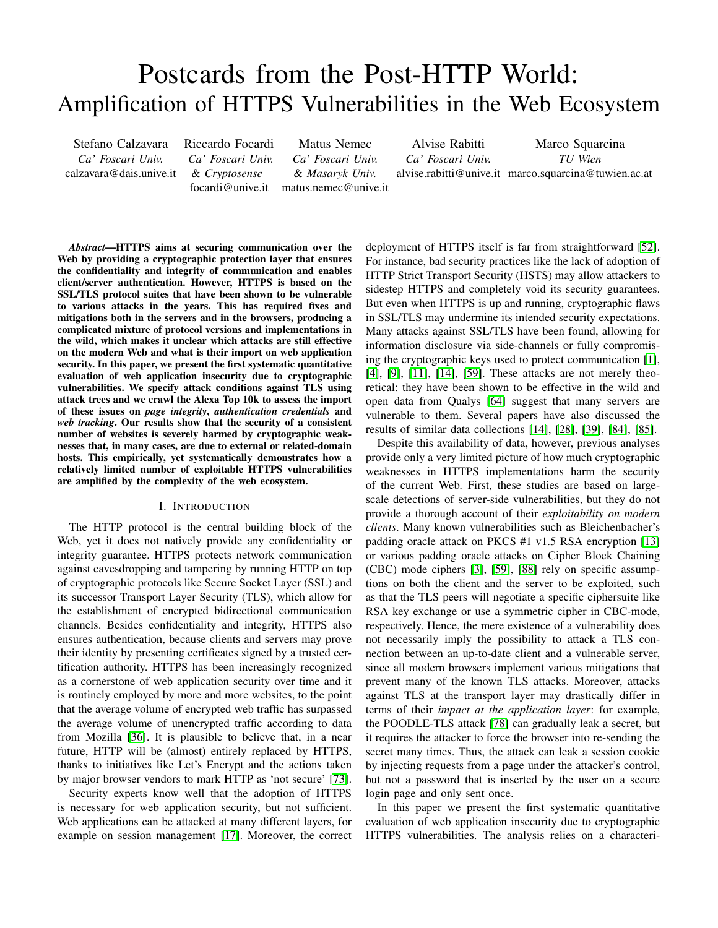# Postcards from the Post-HTTP World: Amplification of HTTPS Vulnerabilities in the Web Ecosystem

Stefano Calzavara *Ca' Foscari Univ.* calzavara@dais.unive.it Riccardo Focardi *Ca' Foscari Univ.* & *Cryptosense* focardi@unive.it

Matus Nemec *Ca' Foscari Univ.* & *Masaryk Univ.* matus.nemec@unive.it

Alvise Rabitti *Ca' Foscari Univ.*

alvise.rabitti@unive.it marco.squarcina@tuwien.ac.at Marco Squarcina *TU Wien*

*Abstract*—HTTPS aims at securing communication over the Web by providing a cryptographic protection layer that ensures the confidentiality and integrity of communication and enables client/server authentication. However, HTTPS is based on the SSL/TLS protocol suites that have been shown to be vulnerable to various attacks in the years. This has required fixes and mitigations both in the servers and in the browsers, producing a complicated mixture of protocol versions and implementations in the wild, which makes it unclear which attacks are still effective on the modern Web and what is their import on web application security. In this paper, we present the first systematic quantitative evaluation of web application insecurity due to cryptographic vulnerabilities. We specify attack conditions against TLS using attack trees and we crawl the Alexa Top 10k to assess the import of these issues on *page integrity*, *authentication credentials* and *web tracking*. Our results show that the security of a consistent number of websites is severely harmed by cryptographic weaknesses that, in many cases, are due to external or related-domain hosts. This empirically, yet systematically demonstrates how a relatively limited number of exploitable HTTPS vulnerabilities are amplified by the complexity of the web ecosystem.

## I. INTRODUCTION

The HTTP protocol is the central building block of the Web, yet it does not natively provide any confidentiality or integrity guarantee. HTTPS protects network communication against eavesdropping and tampering by running HTTP on top of cryptographic protocols like Secure Socket Layer (SSL) and its successor Transport Layer Security (TLS), which allow for the establishment of encrypted bidirectional communication channels. Besides confidentiality and integrity, HTTPS also ensures authentication, because clients and servers may prove their identity by presenting certificates signed by a trusted certification authority. HTTPS has been increasingly recognized as a cornerstone of web application security over time and it is routinely employed by more and more websites, to the point that the average volume of encrypted web traffic has surpassed the average volume of unencrypted traffic according to data from Mozilla [\[36\]](#page-13-0). It is plausible to believe that, in a near future, HTTP will be (almost) entirely replaced by HTTPS, thanks to initiatives like Let's Encrypt and the actions taken by major browser vendors to mark HTTP as 'not secure' [\[73\]](#page-14-0).

Security experts know well that the adoption of HTTPS is necessary for web application security, but not sufficient. Web applications can be attacked at many different layers, for example on session management [\[17\]](#page-13-1). Moreover, the correct deployment of HTTPS itself is far from straightforward [\[52\]](#page-14-1). For instance, bad security practices like the lack of adoption of HTTP Strict Transport Security (HSTS) may allow attackers to sidestep HTTPS and completely void its security guarantees. But even when HTTPS is up and running, cryptographic flaws in SSL/TLS may undermine its intended security expectations. Many attacks against SSL/TLS have been found, allowing for information disclosure via side-channels or fully compromising the cryptographic keys used to protect communication [\[1\]](#page-13-2), [\[4\]](#page-13-3), [\[9\]](#page-13-4), [\[11\]](#page-13-5), [\[14\]](#page-13-6), [\[59\]](#page-14-2). These attacks are not merely theoretical: they have been shown to be effective in the wild and open data from Qualys [\[64\]](#page-14-3) suggest that many servers are vulnerable to them. Several papers have also discussed the results of similar data collections [\[14\]](#page-13-6), [\[28\]](#page-13-7), [\[39\]](#page-13-8), [\[84\]](#page-15-0), [\[85\]](#page-15-1).

Despite this availability of data, however, previous analyses provide only a very limited picture of how much cryptographic weaknesses in HTTPS implementations harm the security of the current Web. First, these studies are based on largescale detections of server-side vulnerabilities, but they do not provide a thorough account of their *exploitability on modern clients*. Many known vulnerabilities such as Bleichenbacher's padding oracle attack on PKCS #1 v1.5 RSA encryption [\[13\]](#page-13-9) or various padding oracle attacks on Cipher Block Chaining (CBC) mode ciphers [\[3\]](#page-13-10), [\[59\]](#page-14-2), [\[88\]](#page-15-2) rely on specific assumptions on both the client and the server to be exploited, such as that the TLS peers will negotiate a specific ciphersuite like RSA key exchange or use a symmetric cipher in CBC-mode, respectively. Hence, the mere existence of a vulnerability does not necessarily imply the possibility to attack a TLS connection between an up-to-date client and a vulnerable server, since all modern browsers implement various mitigations that prevent many of the known TLS attacks. Moreover, attacks against TLS at the transport layer may drastically differ in terms of their *impact at the application layer*: for example, the POODLE-TLS attack [\[78\]](#page-14-4) can gradually leak a secret, but it requires the attacker to force the browser into re-sending the secret many times. Thus, the attack can leak a session cookie by injecting requests from a page under the attacker's control, but not a password that is inserted by the user on a secure login page and only sent once.

In this paper we present the first systematic quantitative evaluation of web application insecurity due to cryptographic HTTPS vulnerabilities. The analysis relies on a characteri-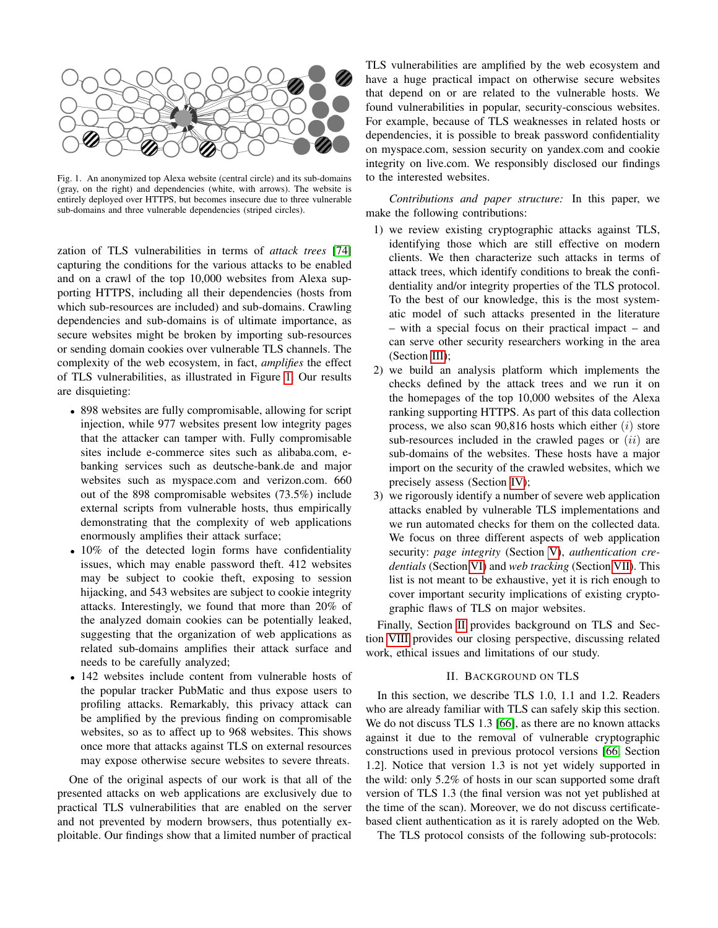

<span id="page-1-0"></span>Fig. 1. An anonymized top Alexa website (central circle) and its sub-domains (gray, on the right) and dependencies (white, with arrows). The website is entirely deployed over HTTPS, but becomes insecure due to three vulnerable sub-domains and three vulnerable dependencies (striped circles).

zation of TLS vulnerabilities in terms of *attack trees* [\[74\]](#page-14-5) capturing the conditions for the various attacks to be enabled and on a crawl of the top 10,000 websites from Alexa supporting HTTPS, including all their dependencies (hosts from which sub-resources are included) and sub-domains. Crawling dependencies and sub-domains is of ultimate importance, as secure websites might be broken by importing sub-resources or sending domain cookies over vulnerable TLS channels. The complexity of the web ecosystem, in fact, *amplifies* the effect of TLS vulnerabilities, as illustrated in Figure [1.](#page-1-0) Our results are disquieting:

- 898 websites are fully compromisable, allowing for script injection, while 977 websites present low integrity pages that the attacker can tamper with. Fully compromisable sites include e-commerce sites such as alibaba.com, ebanking services such as deutsche-bank.de and major websites such as myspace.com and verizon.com. 660 out of the 898 compromisable websites (73.5%) include external scripts from vulnerable hosts, thus empirically demonstrating that the complexity of web applications enormously amplifies their attack surface;
- 10% of the detected login forms have confidentiality issues, which may enable password theft. 412 websites may be subject to cookie theft, exposing to session hijacking, and 543 websites are subject to cookie integrity attacks. Interestingly, we found that more than 20% of the analyzed domain cookies can be potentially leaked, suggesting that the organization of web applications as related sub-domains amplifies their attack surface and needs to be carefully analyzed;
- 142 websites include content from vulnerable hosts of the popular tracker PubMatic and thus expose users to profiling attacks. Remarkably, this privacy attack can be amplified by the previous finding on compromisable websites, so as to affect up to 968 websites. This shows once more that attacks against TLS on external resources may expose otherwise secure websites to severe threats.

One of the original aspects of our work is that all of the presented attacks on web applications are exclusively due to practical TLS vulnerabilities that are enabled on the server and not prevented by modern browsers, thus potentially exploitable. Our findings show that a limited number of practical TLS vulnerabilities are amplified by the web ecosystem and have a huge practical impact on otherwise secure websites that depend on or are related to the vulnerable hosts. We found vulnerabilities in popular, security-conscious websites. For example, because of TLS weaknesses in related hosts or dependencies, it is possible to break password confidentiality on myspace.com, session security on yandex.com and cookie integrity on live.com. We responsibly disclosed our findings to the interested websites.

*Contributions and paper structure:* In this paper, we make the following contributions:

- 1) we review existing cryptographic attacks against TLS, identifying those which are still effective on modern clients. We then characterize such attacks in terms of attack trees, which identify conditions to break the confidentiality and/or integrity properties of the TLS protocol. To the best of our knowledge, this is the most systematic model of such attacks presented in the literature – with a special focus on their practical impact – and can serve other security researchers working in the area (Section [III\)](#page-2-0);
- 2) we build an analysis platform which implements the checks defined by the attack trees and we run it on the homepages of the top 10,000 websites of the Alexa ranking supporting HTTPS. As part of this data collection process, we also scan  $90,816$  hosts which either  $(i)$  store sub-resources included in the crawled pages or  $(ii)$  are sub-domains of the websites. These hosts have a major import on the security of the crawled websites, which we precisely assess (Section [IV\)](#page-5-0);
- 3) we rigorously identify a number of severe web application attacks enabled by vulnerable TLS implementations and we run automated checks for them on the collected data. We focus on three different aspects of web application security: *page integrity* (Section [V\)](#page-6-0), *authentication credentials* (Section [VI\)](#page-8-0) and *web tracking* (Section [VII\)](#page-10-0). This list is not meant to be exhaustive, yet it is rich enough to cover important security implications of existing cryptographic flaws of TLS on major websites.

Finally, Section [II](#page-1-1) provides background on TLS and Section [VIII](#page-11-0) provides our closing perspective, discussing related work, ethical issues and limitations of our study.

# II. BACKGROUND ON TLS

<span id="page-1-1"></span>In this section, we describe TLS 1.0, 1.1 and 1.2. Readers who are already familiar with TLS can safely skip this section. We do not discuss TLS 1.3 [\[66\]](#page-14-6), as there are no known attacks against it due to the removal of vulnerable cryptographic constructions used in previous protocol versions [\[66,](#page-14-6) Section 1.2]. Notice that version 1.3 is not yet widely supported in the wild: only 5.2% of hosts in our scan supported some draft version of TLS 1.3 (the final version was not yet published at the time of the scan). Moreover, we do not discuss certificatebased client authentication as it is rarely adopted on the Web.

The TLS protocol consists of the following sub-protocols: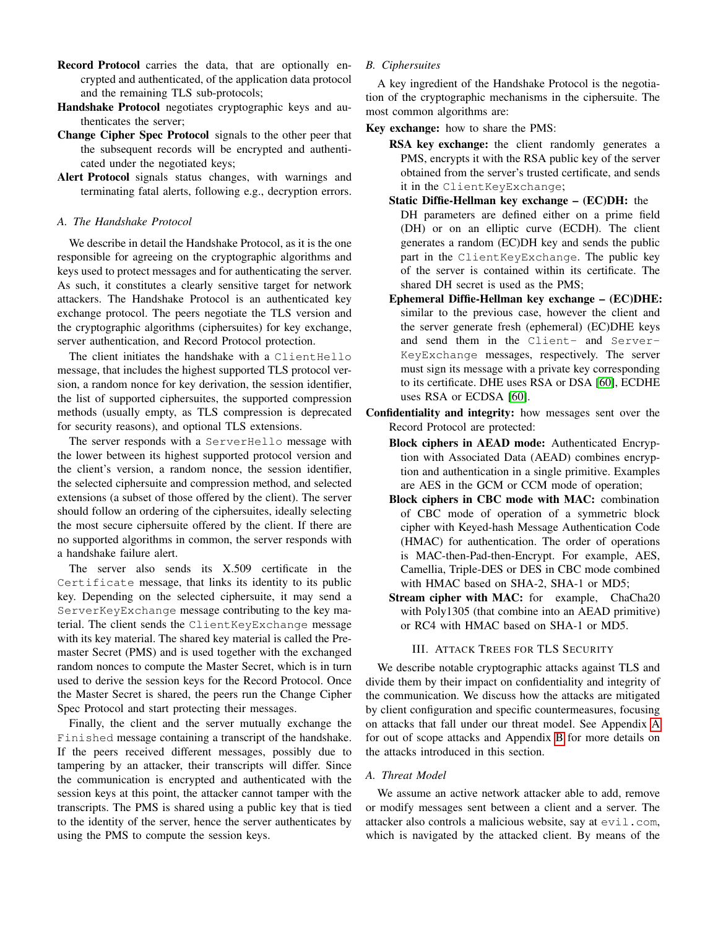- Record Protocol carries the data, that are optionally encrypted and authenticated, of the application data protocol and the remaining TLS sub-protocols;
- Handshake Protocol negotiates cryptographic keys and authenticates the server;
- Change Cipher Spec Protocol signals to the other peer that the subsequent records will be encrypted and authenticated under the negotiated keys;
- Alert Protocol signals status changes, with warnings and terminating fatal alerts, following e.g., decryption errors.

## *A. The Handshake Protocol*

We describe in detail the Handshake Protocol, as it is the one responsible for agreeing on the cryptographic algorithms and keys used to protect messages and for authenticating the server. As such, it constitutes a clearly sensitive target for network attackers. The Handshake Protocol is an authenticated key exchange protocol. The peers negotiate the TLS version and the cryptographic algorithms (ciphersuites) for key exchange, server authentication, and Record Protocol protection.

The client initiates the handshake with a ClientHello message, that includes the highest supported TLS protocol version, a random nonce for key derivation, the session identifier, the list of supported ciphersuites, the supported compression methods (usually empty, as TLS compression is deprecated for security reasons), and optional TLS extensions.

The server responds with a ServerHello message with the lower between its highest supported protocol version and the client's version, a random nonce, the session identifier, the selected ciphersuite and compression method, and selected extensions (a subset of those offered by the client). The server should follow an ordering of the ciphersuites, ideally selecting the most secure ciphersuite offered by the client. If there are no supported algorithms in common, the server responds with a handshake failure alert.

The server also sends its X.509 certificate in the Certificate message, that links its identity to its public key. Depending on the selected ciphersuite, it may send a ServerKeyExchange message contributing to the key material. The client sends the ClientKeyExchange message with its key material. The shared key material is called the Premaster Secret (PMS) and is used together with the exchanged random nonces to compute the Master Secret, which is in turn used to derive the session keys for the Record Protocol. Once the Master Secret is shared, the peers run the Change Cipher Spec Protocol and start protecting their messages.

Finally, the client and the server mutually exchange the Finished message containing a transcript of the handshake. If the peers received different messages, possibly due to tampering by an attacker, their transcripts will differ. Since the communication is encrypted and authenticated with the session keys at this point, the attacker cannot tamper with the transcripts. The PMS is shared using a public key that is tied to the identity of the server, hence the server authenticates by using the PMS to compute the session keys.

## *B. Ciphersuites*

A key ingredient of the Handshake Protocol is the negotiation of the cryptographic mechanisms in the ciphersuite. The most common algorithms are:

- Key exchange: how to share the PMS:
	- RSA key exchange: the client randomly generates a PMS, encrypts it with the RSA public key of the server obtained from the server's trusted certificate, and sends it in the ClientKeyExchange;
	- Static Diffie-Hellman key exchange (EC)DH: the DH parameters are defined either on a prime field (DH) or on an elliptic curve (ECDH). The client generates a random (EC)DH key and sends the public part in the ClientKeyExchange. The public key of the server is contained within its certificate. The shared DH secret is used as the PMS;
	- Ephemeral Diffie-Hellman key exchange (EC)DHE: similar to the previous case, however the client and the server generate fresh (ephemeral) (EC)DHE keys and send them in the Client- and Server-KeyExchange messages, respectively. The server must sign its message with a private key corresponding to its certificate. DHE uses RSA or DSA [\[60\]](#page-14-7), ECDHE uses RSA or ECDSA [\[60\]](#page-14-7).
- Confidentiality and integrity: how messages sent over the Record Protocol are protected:
	- Block ciphers in AEAD mode: Authenticated Encryption with Associated Data (AEAD) combines encryption and authentication in a single primitive. Examples are AES in the GCM or CCM mode of operation;
	- Block ciphers in CBC mode with MAC: combination of CBC mode of operation of a symmetric block cipher with Keyed-hash Message Authentication Code (HMAC) for authentication. The order of operations is MAC-then-Pad-then-Encrypt. For example, AES, Camellia, Triple-DES or DES in CBC mode combined with HMAC based on SHA-2, SHA-1 or MD5;
	- Stream cipher with MAC: for example, ChaCha20 with Poly1305 (that combine into an AEAD primitive) or RC4 with HMAC based on SHA-1 or MD5.

### III. ATTACK TREES FOR TLS SECURITY

<span id="page-2-0"></span>We describe notable cryptographic attacks against TLS and divide them by their impact on confidentiality and integrity of the communication. We discuss how the attacks are mitigated by client configuration and specific countermeasures, focusing on attacks that fall under our threat model. See Appendix [A](#page-15-3) for out of scope attacks and Appendix [B](#page-16-0) for more details on the attacks introduced in this section.

#### *A. Threat Model*

We assume an active network attacker able to add, remove or modify messages sent between a client and a server. The attacker also controls a malicious website, say at evil.com, which is navigated by the attacked client. By means of the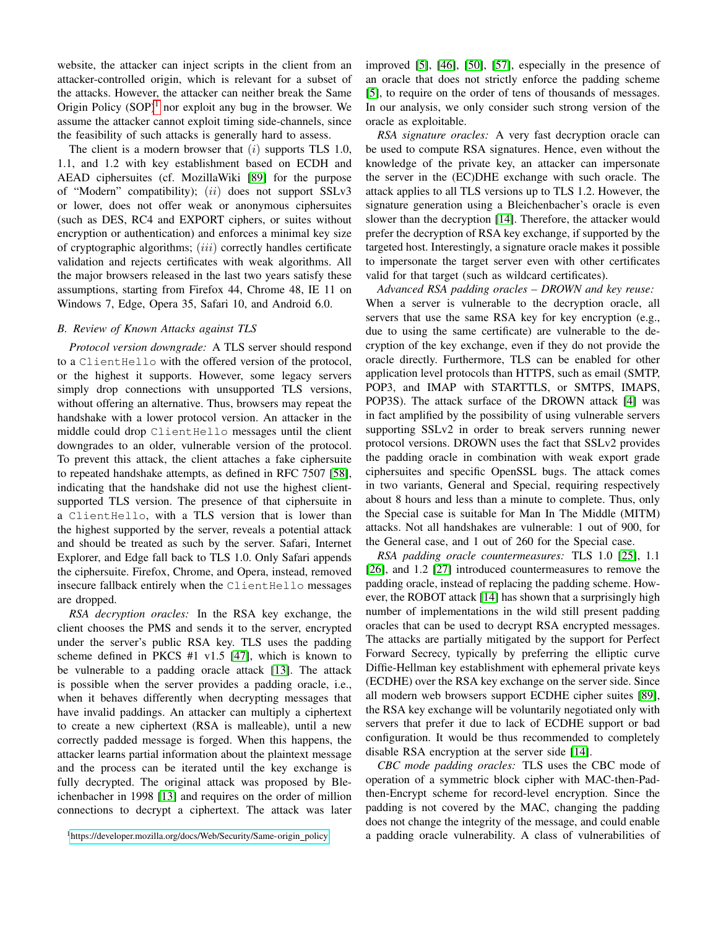website, the attacker can inject scripts in the client from an attacker-controlled origin, which is relevant for a subset of the attacks. However, the attacker can neither break the Same Origin Policy  $(SOP)^1$  $(SOP)^1$  nor exploit any bug in the browser. We assume the attacker cannot exploit timing side-channels, since the feasibility of such attacks is generally hard to assess.

The client is a modern browser that  $(i)$  supports TLS 1.0, 1.1, and 1.2 with key establishment based on ECDH and AEAD ciphersuites (cf. MozillaWiki [\[89\]](#page-15-4) for the purpose of "Modern" compatibility); (ii) does not support SSLv3 or lower, does not offer weak or anonymous ciphersuites (such as DES, RC4 and EXPORT ciphers, or suites without encryption or authentication) and enforces a minimal key size of cryptographic algorithms;  $(iii)$  correctly handles certificate validation and rejects certificates with weak algorithms. All the major browsers released in the last two years satisfy these assumptions, starting from Firefox 44, Chrome 48, IE 11 on Windows 7, Edge, Opera 35, Safari 10, and Android 6.0.

# <span id="page-3-1"></span>*B. Review of Known Attacks against TLS*

*Protocol version downgrade:* A TLS server should respond to a ClientHello with the offered version of the protocol, or the highest it supports. However, some legacy servers simply drop connections with unsupported TLS versions, without offering an alternative. Thus, browsers may repeat the handshake with a lower protocol version. An attacker in the middle could drop ClientHello messages until the client downgrades to an older, vulnerable version of the protocol. To prevent this attack, the client attaches a fake ciphersuite to repeated handshake attempts, as defined in RFC 7507 [\[58\]](#page-14-8), indicating that the handshake did not use the highest clientsupported TLS version. The presence of that ciphersuite in a ClientHello, with a TLS version that is lower than the highest supported by the server, reveals a potential attack and should be treated as such by the server. Safari, Internet Explorer, and Edge fall back to TLS 1.0. Only Safari appends the ciphersuite. Firefox, Chrome, and Opera, instead, removed insecure fallback entirely when the ClientHello messages are dropped.

*RSA decryption oracles:* In the RSA key exchange, the client chooses the PMS and sends it to the server, encrypted under the server's public RSA key. TLS uses the padding scheme defined in PKCS #1 v1.5 [\[47\]](#page-14-9), which is known to be vulnerable to a padding oracle attack [\[13\]](#page-13-9). The attack is possible when the server provides a padding oracle, i.e., when it behaves differently when decrypting messages that have invalid paddings. An attacker can multiply a ciphertext to create a new ciphertext (RSA is malleable), until a new correctly padded message is forged. When this happens, the attacker learns partial information about the plaintext message and the process can be iterated until the key exchange is fully decrypted. The original attack was proposed by Bleichenbacher in 1998 [\[13\]](#page-13-9) and requires on the order of million connections to decrypt a ciphertext. The attack was later improved [\[5\]](#page-13-11), [\[46\]](#page-14-10), [\[50\]](#page-14-11), [\[57\]](#page-14-12), especially in the presence of an oracle that does not strictly enforce the padding scheme [\[5\]](#page-13-11), to require on the order of tens of thousands of messages. In our analysis, we only consider such strong version of the oracle as exploitable.

*RSA signature oracles:* A very fast decryption oracle can be used to compute RSA signatures. Hence, even without the knowledge of the private key, an attacker can impersonate the server in the (EC)DHE exchange with such oracle. The attack applies to all TLS versions up to TLS 1.2. However, the signature generation using a Bleichenbacher's oracle is even slower than the decryption [\[14\]](#page-13-6). Therefore, the attacker would prefer the decryption of RSA key exchange, if supported by the targeted host. Interestingly, a signature oracle makes it possible to impersonate the target server even with other certificates valid for that target (such as wildcard certificates).

*Advanced RSA padding oracles – DROWN and key reuse:* When a server is vulnerable to the decryption oracle, all servers that use the same RSA key for key encryption (e.g., due to using the same certificate) are vulnerable to the decryption of the key exchange, even if they do not provide the oracle directly. Furthermore, TLS can be enabled for other application level protocols than HTTPS, such as email (SMTP, POP3, and IMAP with STARTTLS, or SMTPS, IMAPS, POP3S). The attack surface of the DROWN attack [\[4\]](#page-13-3) was in fact amplified by the possibility of using vulnerable servers supporting SSLv2 in order to break servers running newer protocol versions. DROWN uses the fact that SSLv2 provides the padding oracle in combination with weak export grade ciphersuites and specific OpenSSL bugs. The attack comes in two variants, General and Special, requiring respectively about 8 hours and less than a minute to complete. Thus, only the Special case is suitable for Man In The Middle (MITM) attacks. Not all handshakes are vulnerable: 1 out of 900, for the General case, and 1 out of 260 for the Special case.

*RSA padding oracle countermeasures:* TLS 1.0 [\[25\]](#page-13-12), 1.1 [\[26\]](#page-13-13), and 1.2 [\[27\]](#page-13-14) introduced countermeasures to remove the padding oracle, instead of replacing the padding scheme. However, the ROBOT attack [\[14\]](#page-13-6) has shown that a surprisingly high number of implementations in the wild still present padding oracles that can be used to decrypt RSA encrypted messages. The attacks are partially mitigated by the support for Perfect Forward Secrecy, typically by preferring the elliptic curve Diffie-Hellman key establishment with ephemeral private keys (ECDHE) over the RSA key exchange on the server side. Since all modern web browsers support ECDHE cipher suites [\[89\]](#page-15-4), the RSA key exchange will be voluntarily negotiated only with servers that prefer it due to lack of ECDHE support or bad configuration. It would be thus recommended to completely disable RSA encryption at the server side [\[14\]](#page-13-6).

*CBC mode padding oracles:* TLS uses the CBC mode of operation of a symmetric block cipher with MAC-then-Padthen-Encrypt scheme for record-level encryption. Since the padding is not covered by the MAC, changing the padding does not change the integrity of the message, and could enable a padding oracle vulnerability. A class of vulnerabilities of

<span id="page-3-0"></span><sup>&</sup>lt;sup>1</sup>[https://developer.mozilla.org/docs/Web/Security/Same-origin](https://developer.mozilla.org/docs/Web/Security/Same-origin_policy)\_policy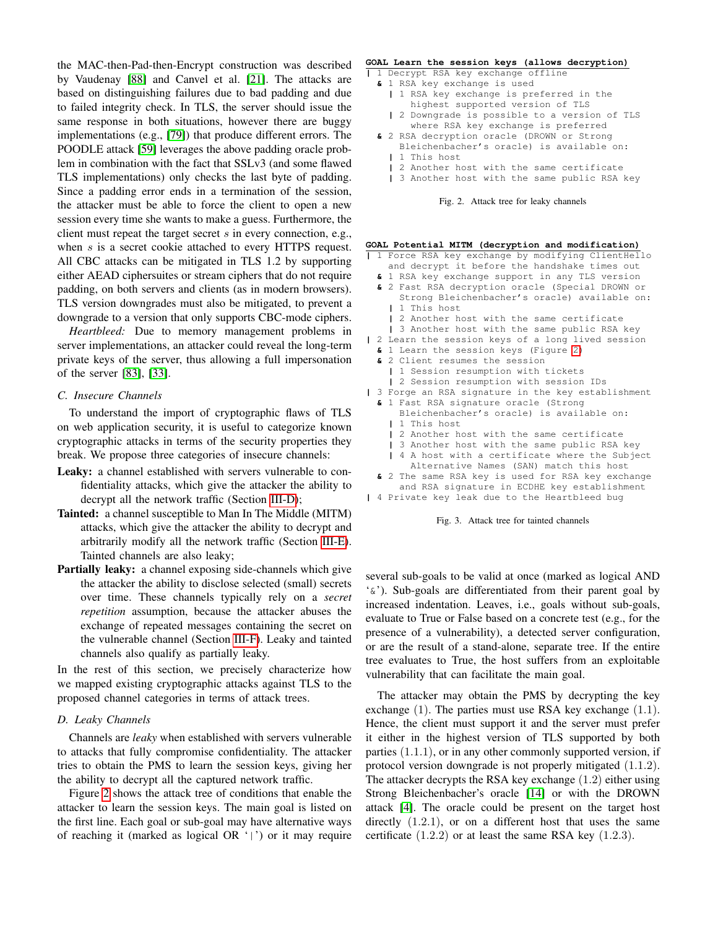the MAC-then-Pad-then-Encrypt construction was described by Vaudenay [\[88\]](#page-15-2) and Canvel et al. [\[21\]](#page-13-15). The attacks are based on distinguishing failures due to bad padding and due to failed integrity check. In TLS, the server should issue the same response in both situations, however there are buggy implementations (e.g., [\[79\]](#page-14-13)) that produce different errors. The POODLE attack [\[59\]](#page-14-2) leverages the above padding oracle problem in combination with the fact that SSLv3 (and some flawed TLS implementations) only checks the last byte of padding. Since a padding error ends in a termination of the session, the attacker must be able to force the client to open a new session every time she wants to make a guess. Furthermore, the client must repeat the target secret s in every connection, e.g., when s is a secret cookie attached to every HTTPS request. All CBC attacks can be mitigated in TLS 1.2 by supporting either AEAD ciphersuites or stream ciphers that do not require padding, on both servers and clients (as in modern browsers). TLS version downgrades must also be mitigated, to prevent a downgrade to a version that only supports CBC-mode ciphers.

*Heartbleed:* Due to memory management problems in server implementations, an attacker could reveal the long-term private keys of the server, thus allowing a full impersonation of the server [\[83\]](#page-15-5), [\[33\]](#page-13-16).

#### *C. Insecure Channels*

To understand the import of cryptographic flaws of TLS on web application security, it is useful to categorize known cryptographic attacks in terms of the security properties they break. We propose three categories of insecure channels:

- Leaky: a channel established with servers vulnerable to confidentiality attacks, which give the attacker the ability to decrypt all the network traffic (Section [III-D\)](#page-4-0);
- Tainted: a channel susceptible to Man In The Middle (MITM) attacks, which give the attacker the ability to decrypt and arbitrarily modify all the network traffic (Section [III-E\)](#page-5-1). Tainted channels are also leaky;
- Partially leaky: a channel exposing side-channels which give the attacker the ability to disclose selected (small) secrets over time. These channels typically rely on a *secret repetition* assumption, because the attacker abuses the exchange of repeated messages containing the secret on the vulnerable channel (Section [III-F\)](#page-5-2). Leaky and tainted channels also qualify as partially leaky.

In the rest of this section, we precisely characterize how we mapped existing cryptographic attacks against TLS to the proposed channel categories in terms of attack trees.

#### <span id="page-4-0"></span>*D. Leaky Channels*

Channels are *leaky* when established with servers vulnerable to attacks that fully compromise confidentiality. The attacker tries to obtain the PMS to learn the session keys, giving her the ability to decrypt all the captured network traffic.

Figure [2](#page-4-1) shows the attack tree of conditions that enable the attacker to learn the session keys. The main goal is listed on the first line. Each goal or sub-goal may have alternative ways of reaching it (marked as logical OR '|') or it may require

#### **GOAL Learn the session keys (allows decryption)**

- **|** 1 Decrypt RSA key exchange offline
	- **&** 1 RSA key exchange is used
		- **|** 1 RSA key exchange is preferred in the highest supported version of TLS
		- **|** 2 Downgrade is possible to a version of TLS where RSA key exchange is preferred
	- **&** 2 RSA decryption oracle (DROWN or Strong Bleichenbacher's oracle) is available on: **|** 1 This host
		- **|** 2 Another host with the same certificate
		- **|** 3 Another host with the same public RSA key

#### <span id="page-4-1"></span>Fig. 2. Attack tree for leaky channels

# **GOAL Potential MITM (decryption and modification)**

- **|** 1 Force RSA key exchange by modifying ClientHello and decrypt it before the handshake times out
	- **&** 1 RSA key exchange support in any TLS version
	- **&** 2 Fast RSA decryption oracle (Special DROWN or Strong Bleichenbacher's oracle) available on: **|** 1 This host
		- **|** 2 Another host with the same certificate
- **|** 3 Another host with the same public RSA key
- **|** 2 Learn the session keys of a long lived session
	- **&** 1 Learn the session keys (Figure [2\)](#page-4-1)
	- **&** 2 Client resumes the session
	- **|** 1 Session resumption with tickets
	- **|** 2 Session resumption with session IDs
- **|** 3 Forge an RSA signature in the key establishment **&** 1 Fast RSA signature oracle (Strong
	- Bleichenbacher's oracle) is available on: **|** 1 This host
		- **|** 2 Another host with the same certificate
		- **|** 3 Another host with the same public RSA key
		- **|** 4 A host with a certificate where the Subject Alternative Names (SAN) match this host
	- **&** 2 The same RSA key is used for RSA key exchange
- and RSA signature in ECDHE key establishment **|** 4 Private key leak due to the Heartbleed bug

<span id="page-4-2"></span>Fig. 3. Attack tree for tainted channels

several sub-goals to be valid at once (marked as logical AND '&'). Sub-goals are differentiated from their parent goal by increased indentation. Leaves, i.e., goals without sub-goals, evaluate to True or False based on a concrete test (e.g., for the presence of a vulnerability), a detected server configuration, or are the result of a stand-alone, separate tree. If the entire tree evaluates to True, the host suffers from an exploitable vulnerability that can facilitate the main goal.

The attacker may obtain the PMS by decrypting the key exchange  $(1)$ . The parties must use RSA key exchange  $(1.1)$ . Hence, the client must support it and the server must prefer it either in the highest version of TLS supported by both parties (1.1.1), or in any other commonly supported version, if protocol version downgrade is not properly mitigated (1.1.2). The attacker decrypts the RSA key exchange (1.2) either using Strong Bleichenbacher's oracle [\[14\]](#page-13-6) or with the DROWN attack [\[4\]](#page-13-3). The oracle could be present on the target host directly (1.2.1), or on a different host that uses the same certificate  $(1.2.2)$  or at least the same RSA key  $(1.2.3)$ .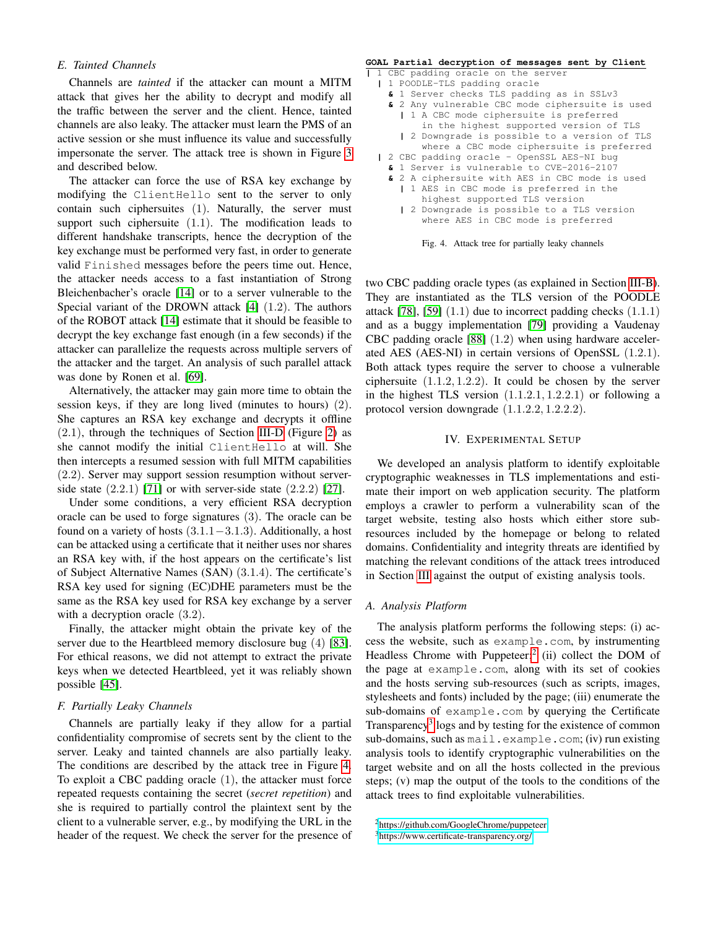## <span id="page-5-1"></span>*E. Tainted Channels*

Channels are *tainted* if the attacker can mount a MITM attack that gives her the ability to decrypt and modify all the traffic between the server and the client. Hence, tainted channels are also leaky. The attacker must learn the PMS of an active session or she must influence its value and successfully impersonate the server. The attack tree is shown in Figure [3](#page-4-2) and described below.

The attacker can force the use of RSA key exchange by modifying the ClientHello sent to the server to only contain such ciphersuites (1). Naturally, the server must support such ciphersuite (1.1). The modification leads to different handshake transcripts, hence the decryption of the key exchange must be performed very fast, in order to generate valid Finished messages before the peers time out. Hence, the attacker needs access to a fast instantiation of Strong Bleichenbacher's oracle [\[14\]](#page-13-6) or to a server vulnerable to the Special variant of the DROWN attack [\[4\]](#page-13-3) (1.2). The authors of the ROBOT attack [\[14\]](#page-13-6) estimate that it should be feasible to decrypt the key exchange fast enough (in a few seconds) if the attacker can parallelize the requests across multiple servers of the attacker and the target. An analysis of such parallel attack was done by Ronen et al. [\[69\]](#page-14-14).

Alternatively, the attacker may gain more time to obtain the session keys, if they are long lived (minutes to hours) (2). She captures an RSA key exchange and decrypts it offline (2.1), through the techniques of Section [III-D](#page-4-0) (Figure [2\)](#page-4-1) as she cannot modify the initial ClientHello at will. She then intercepts a resumed session with full MITM capabilities (2.2). Server may support session resumption without serverside state  $(2.2.1)$  [\[71\]](#page-14-15) or with server-side state  $(2.2.2)$  [\[27\]](#page-13-14).

Under some conditions, a very efficient RSA decryption oracle can be used to forge signatures (3). The oracle can be found on a variety of hosts  $(3.1.1-3.1.3)$ . Additionally, a host can be attacked using a certificate that it neither uses nor shares an RSA key with, if the host appears on the certificate's list of Subject Alternative Names (SAN) (3.1.4). The certificate's RSA key used for signing (EC)DHE parameters must be the same as the RSA key used for RSA key exchange by a server with a decryption oracle  $(3.2)$ .

Finally, the attacker might obtain the private key of the server due to the Heartbleed memory disclosure bug (4) [\[83\]](#page-15-5). For ethical reasons, we did not attempt to extract the private keys when we detected Heartbleed, yet it was reliably shown possible [\[45\]](#page-14-16).

### <span id="page-5-2"></span>*F. Partially Leaky Channels*

Channels are partially leaky if they allow for a partial confidentiality compromise of secrets sent by the client to the server. Leaky and tainted channels are also partially leaky. The conditions are described by the attack tree in Figure [4.](#page-5-3) To exploit a CBC padding oracle (1), the attacker must force repeated requests containing the secret (*secret repetition*) and she is required to partially control the plaintext sent by the client to a vulnerable server, e.g., by modifying the URL in the header of the request. We check the server for the presence of

#### **GOAL Partial decryption of messages sent by Client**

|                                       |                                                |  | 1 CBC padding oracle on the server              |  |  |
|---------------------------------------|------------------------------------------------|--|-------------------------------------------------|--|--|
|                                       | 1 POODLE-TLS padding oracle                    |  |                                                 |  |  |
|                                       | & 1 Server checks TLS padding as in SSLv3      |  |                                                 |  |  |
|                                       |                                                |  | & 2 Any vulnerable CBC mode ciphersuite is used |  |  |
|                                       |                                                |  | 1 A CBC mode ciphersuite is preferred           |  |  |
|                                       |                                                |  | in the highest supported version of TLS         |  |  |
|                                       |                                                |  | 2 Downgrade is possible to a version of TLS     |  |  |
|                                       |                                                |  | where a CBC mode ciphersuite is preferred       |  |  |
|                                       |                                                |  | 2 CBC padding oracle - OpenSSL AES-NI bug       |  |  |
|                                       | & 1 Server is vulnerable to CVE-2016-2107      |  |                                                 |  |  |
|                                       | & 2 A ciphersuite with AES in CBC mode is used |  |                                                 |  |  |
| 1 AES in CBC mode is preferred in the |                                                |  |                                                 |  |  |
|                                       | highest supported TLS version                  |  |                                                 |  |  |
|                                       |                                                |  | 2 Downgrade is possible to a TLS version        |  |  |
|                                       |                                                |  | where AES in CBC mode is preferred              |  |  |

<span id="page-5-3"></span>

two CBC padding oracle types (as explained in Section [III-B\)](#page-3-1). They are instantiated as the TLS version of the POODLE attack [\[78\]](#page-14-4), [\[59\]](#page-14-2)  $(1.1)$  due to incorrect padding checks  $(1.1.1)$ and as a buggy implementation [\[79\]](#page-14-13) providing a Vaudenay CBC padding oracle [\[88\]](#page-15-2) (1.2) when using hardware accelerated AES (AES-NI) in certain versions of OpenSSL (1.2.1). Both attack types require the server to choose a vulnerable ciphersuite (1.1.2, 1.2.2). It could be chosen by the server in the highest TLS version  $(1.1.2.1, 1.2.2.1)$  or following a protocol version downgrade (1.1.2.2, 1.2.2.2).

#### IV. EXPERIMENTAL SETUP

<span id="page-5-0"></span>We developed an analysis platform to identify exploitable cryptographic weaknesses in TLS implementations and estimate their import on web application security. The platform employs a crawler to perform a vulnerability scan of the target website, testing also hosts which either store subresources included by the homepage or belong to related domains. Confidentiality and integrity threats are identified by matching the relevant conditions of the attack trees introduced in Section [III](#page-2-0) against the output of existing analysis tools.

# *A. Analysis Platform*

The analysis platform performs the following steps: (i) access the website, such as example.com, by instrumenting Headless Chrome with Puppeteer;<sup>[2](#page-5-4)</sup> (ii) collect the DOM of the page at example.com, along with its set of cookies and the hosts serving sub-resources (such as scripts, images, stylesheets and fonts) included by the page; (iii) enumerate the sub-domains of example.com by querying the Certificate Transparency<sup>[3](#page-5-5)</sup> logs and by testing for the existence of common sub-domains, such as mail.example.com; (iv) run existing analysis tools to identify cryptographic vulnerabilities on the target website and on all the hosts collected in the previous steps; (v) map the output of the tools to the conditions of the attack trees to find exploitable vulnerabilities.

<span id="page-5-4"></span><sup>2</sup><https://github.com/GoogleChrome/puppeteer>

<span id="page-5-5"></span><sup>3</sup><https://www.certificate-transparency.org/>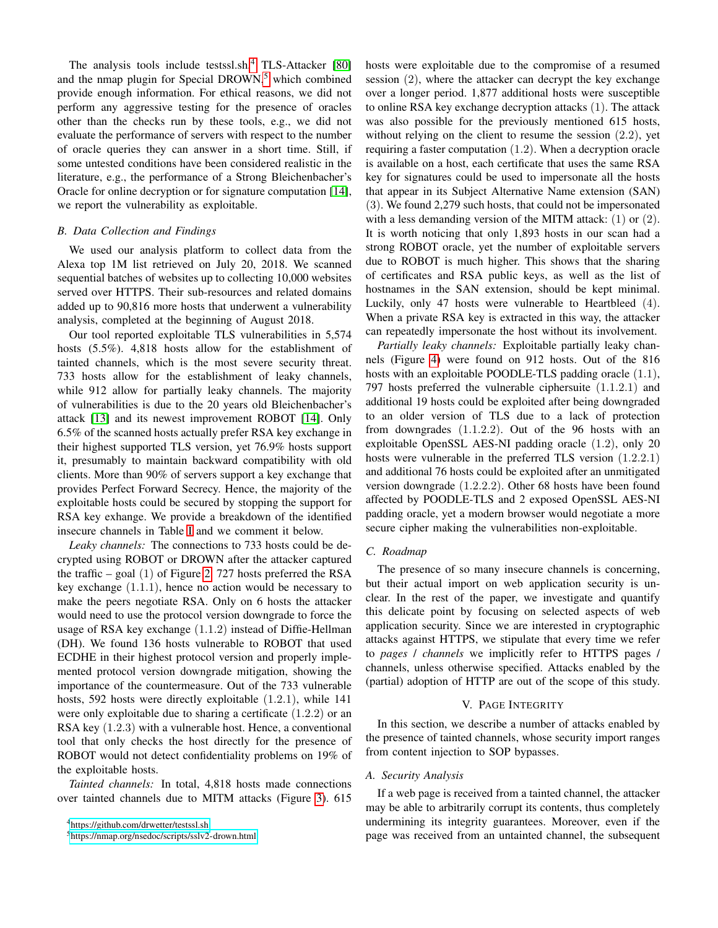The analysis tools include testssl.sh, $4$  TLS-Attacker [\[80\]](#page-14-17) and the nmap plugin for Special DROWN, $<sup>5</sup>$  $<sup>5</sup>$  $<sup>5</sup>$  which combined</sup> provide enough information. For ethical reasons, we did not perform any aggressive testing for the presence of oracles other than the checks run by these tools, e.g., we did not evaluate the performance of servers with respect to the number of oracle queries they can answer in a short time. Still, if some untested conditions have been considered realistic in the literature, e.g., the performance of a Strong Bleichenbacher's Oracle for online decryption or for signature computation [\[14\]](#page-13-6), we report the vulnerability as exploitable.

## *B. Data Collection and Findings*

We used our analysis platform to collect data from the Alexa top 1M list retrieved on July 20, 2018. We scanned sequential batches of websites up to collecting 10,000 websites served over HTTPS. Their sub-resources and related domains added up to 90,816 more hosts that underwent a vulnerability analysis, completed at the beginning of August 2018.

Our tool reported exploitable TLS vulnerabilities in 5,574 hosts (5.5%). 4,818 hosts allow for the establishment of tainted channels, which is the most severe security threat. 733 hosts allow for the establishment of leaky channels, while 912 allow for partially leaky channels. The majority of vulnerabilities is due to the 20 years old Bleichenbacher's attack [\[13\]](#page-13-9) and its newest improvement ROBOT [\[14\]](#page-13-6). Only 6.5% of the scanned hosts actually prefer RSA key exchange in their highest supported TLS version, yet 76.9% hosts support it, presumably to maintain backward compatibility with old clients. More than 90% of servers support a key exchange that provides Perfect Forward Secrecy. Hence, the majority of the exploitable hosts could be secured by stopping the support for RSA key exhange. We provide a breakdown of the identified insecure channels in Table [I](#page-7-0) and we comment it below.

*Leaky channels:* The connections to 733 hosts could be decrypted using ROBOT or DROWN after the attacker captured the traffic – goal  $(1)$  of Figure [2.](#page-4-1) 727 hosts preferred the RSA key exchange (1.1.1), hence no action would be necessary to make the peers negotiate RSA. Only on 6 hosts the attacker would need to use the protocol version downgrade to force the usage of RSA key exchange (1.1.2) instead of Diffie-Hellman (DH). We found 136 hosts vulnerable to ROBOT that used ECDHE in their highest protocol version and properly implemented protocol version downgrade mitigation, showing the importance of the countermeasure. Out of the 733 vulnerable hosts, 592 hosts were directly exploitable (1.2.1), while 141 were only exploitable due to sharing a certificate (1.2.2) or an RSA key (1.2.3) with a vulnerable host. Hence, a conventional tool that only checks the host directly for the presence of ROBOT would not detect confidentiality problems on 19% of the exploitable hosts.

*Tainted channels:* In total, 4,818 hosts made connections over tainted channels due to MITM attacks (Figure [3\)](#page-4-2). 615 hosts were exploitable due to the compromise of a resumed session (2), where the attacker can decrypt the key exchange over a longer period. 1,877 additional hosts were susceptible to online RSA key exchange decryption attacks (1). The attack was also possible for the previously mentioned 615 hosts, without relying on the client to resume the session  $(2.2)$ , yet requiring a faster computation (1.2). When a decryption oracle is available on a host, each certificate that uses the same RSA key for signatures could be used to impersonate all the hosts that appear in its Subject Alternative Name extension (SAN) (3). We found 2,279 such hosts, that could not be impersonated with a less demanding version of the MITM attack: (1) or (2). It is worth noticing that only 1,893 hosts in our scan had a strong ROBOT oracle, yet the number of exploitable servers due to ROBOT is much higher. This shows that the sharing of certificates and RSA public keys, as well as the list of hostnames in the SAN extension, should be kept minimal. Luckily, only 47 hosts were vulnerable to Heartbleed (4). When a private RSA key is extracted in this way, the attacker can repeatedly impersonate the host without its involvement.

*Partially leaky channels:* Exploitable partially leaky channels (Figure [4\)](#page-5-3) were found on 912 hosts. Out of the 816 hosts with an exploitable POODLE-TLS padding oracle  $(1.1)$ , 797 hosts preferred the vulnerable ciphersuite (1.1.2.1) and additional 19 hosts could be exploited after being downgraded to an older version of TLS due to a lack of protection from downgrades (1.1.2.2). Out of the 96 hosts with an exploitable OpenSSL AES-NI padding oracle (1.2), only 20 hosts were vulnerable in the preferred TLS version (1.2.2.1) and additional 76 hosts could be exploited after an unmitigated version downgrade (1.2.2.2). Other 68 hosts have been found affected by POODLE-TLS and 2 exposed OpenSSL AES-NI padding oracle, yet a modern browser would negotiate a more secure cipher making the vulnerabilities non-exploitable.

#### *C. Roadmap*

The presence of so many insecure channels is concerning, but their actual import on web application security is unclear. In the rest of the paper, we investigate and quantify this delicate point by focusing on selected aspects of web application security. Since we are interested in cryptographic attacks against HTTPS, we stipulate that every time we refer to *pages* / *channels* we implicitly refer to HTTPS pages / channels, unless otherwise specified. Attacks enabled by the (partial) adoption of HTTP are out of the scope of this study.

#### V. PAGE INTEGRITY

<span id="page-6-0"></span>In this section, we describe a number of attacks enabled by the presence of tainted channels, whose security import ranges from content injection to SOP bypasses.

#### *A. Security Analysis*

If a web page is received from a tainted channel, the attacker may be able to arbitrarily corrupt its contents, thus completely undermining its integrity guarantees. Moreover, even if the page was received from an untainted channel, the subsequent

<span id="page-6-1"></span><sup>4</sup><https://github.com/drwetter/testssl.sh>

<span id="page-6-2"></span><sup>5</sup><https://nmap.org/nsedoc/scripts/sslv2-drown.html>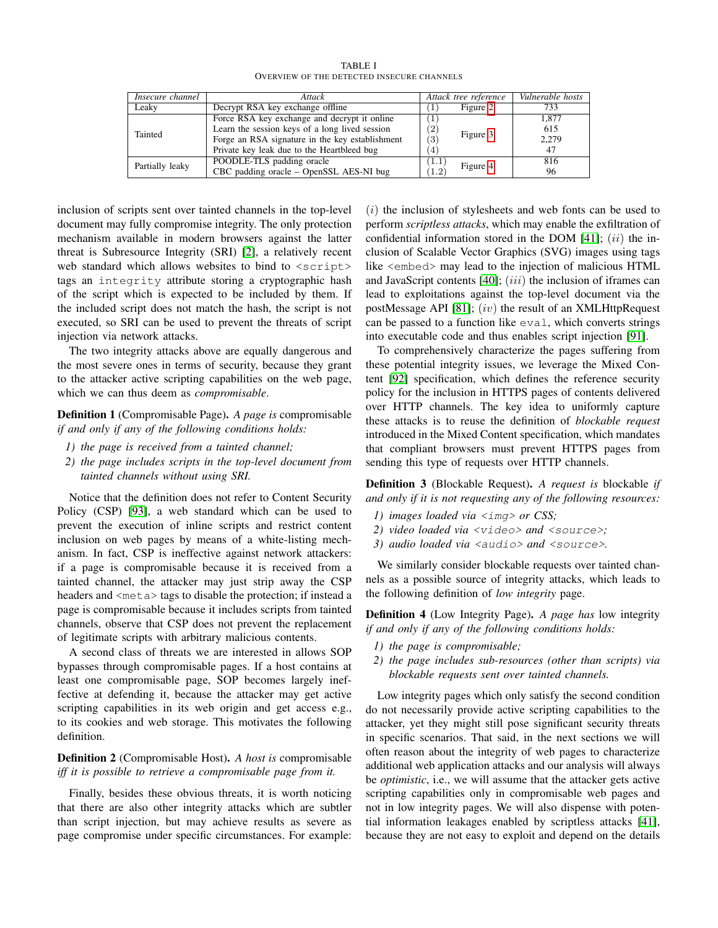TABLE I OVERVIEW OF THE DETECTED INSECURE CHANNELS

<span id="page-7-0"></span>

| Insecure channel | Attack                                          |                    | Attack tree reference | Vulnerable hosts |  |
|------------------|-------------------------------------------------|--------------------|-----------------------|------------------|--|
| Leakv            | Decrypt RSA key exchange offline                |                    | Figure 2              | 733              |  |
|                  | Force RSA key exchange and decrypt it online    |                    |                       | 1.877            |  |
| Tainted          | Learn the session keys of a long lived session  | $\left( 2\right)$  | Figure 3              | 615              |  |
|                  | Forge an RSA signature in the key establishment | 3)                 |                       | 2,279            |  |
|                  | Private key leak due to the Heartbleed bug      | $\overline{4}$     |                       | 47               |  |
| Partially leaky  | POODLE-TLS padding oracle                       | $\left(1.1\right)$ | Figure 4              | 816              |  |
|                  | CBC padding oracle – OpenSSL AES-NI bug         | 1.2                |                       | 96               |  |

inclusion of scripts sent over tainted channels in the top-level document may fully compromise integrity. The only protection mechanism available in modern browsers against the latter threat is Subresource Integrity (SRI) [\[2\]](#page-13-17), a relatively recent web standard which allows websites to bind to <script> tags an integrity attribute storing a cryptographic hash of the script which is expected to be included by them. If the included script does not match the hash, the script is not executed, so SRI can be used to prevent the threats of script injection via network attacks.

The two integrity attacks above are equally dangerous and the most severe ones in terms of security, because they grant to the attacker active scripting capabilities on the web page, which we can thus deem as *compromisable*.

Definition 1 (Compromisable Page). *A page is* compromisable *if and only if any of the following conditions holds:*

- *1) the page is received from a tainted channel;*
- *2) the page includes scripts in the top-level document from tainted channels without using SRI.*

Notice that the definition does not refer to Content Security Policy (CSP) [\[93\]](#page-15-6), a web standard which can be used to prevent the execution of inline scripts and restrict content inclusion on web pages by means of a white-listing mechanism. In fact, CSP is ineffective against network attackers: if a page is compromisable because it is received from a tainted channel, the attacker may just strip away the CSP headers and  $\langle \text{meta} \rangle$  tags to disable the protection; if instead a page is compromisable because it includes scripts from tainted channels, observe that CSP does not prevent the replacement of legitimate scripts with arbitrary malicious contents.

A second class of threats we are interested in allows SOP bypasses through compromisable pages. If a host contains at least one compromisable page, SOP becomes largely ineffective at defending it, because the attacker may get active scripting capabilities in its web origin and get access e.g., to its cookies and web storage. This motivates the following definition.

# Definition 2 (Compromisable Host). *A host is* compromisable *iff it is possible to retrieve a compromisable page from it.*

Finally, besides these obvious threats, it is worth noticing that there are also other integrity attacks which are subtler than script injection, but may achieve results as severe as page compromise under specific circumstances. For example:

 $(i)$  the inclusion of stylesheets and web fonts can be used to perform *scriptless attacks*, which may enable the exfiltration of confidential information stored in the DOM  $[41]$ ;  $(ii)$  the inclusion of Scalable Vector Graphics (SVG) images using tags like <embed> may lead to the injection of malicious HTML and JavaScript contents  $[40]$ ;  $(iii)$  the inclusion of iframes can lead to exploitations against the top-level document via the postMessage API [\[81\]](#page-15-7);  $(iv)$  the result of an XMLHttpRequest can be passed to a function like eval, which converts strings into executable code and thus enables script injection [\[91\]](#page-15-8).

To comprehensively characterize the pages suffering from these potential integrity issues, we leverage the Mixed Content [\[92\]](#page-15-9) specification, which defines the reference security policy for the inclusion in HTTPS pages of contents delivered over HTTP channels. The key idea to uniformly capture these attacks is to reuse the definition of *blockable request* introduced in the Mixed Content specification, which mandates that compliant browsers must prevent HTTPS pages from sending this type of requests over HTTP channels.

Definition 3 (Blockable Request). *A request is* blockable *if and only if it is not requesting any of the following resources:*

- *1) images loaded via* <img> *or CSS;*
- *2) video loaded via* <video> *and* <source>*;*
- *3) audio loaded via* <audio> *and* <source>*.*

We similarly consider blockable requests over tainted channels as a possible source of integrity attacks, which leads to the following definition of *low integrity* page.

Definition 4 (Low Integrity Page). *A page has* low integrity *if and only if any of the following conditions holds:*

- *1) the page is compromisable;*
- *2) the page includes sub-resources (other than scripts) via blockable requests sent over tainted channels.*

Low integrity pages which only satisfy the second condition do not necessarily provide active scripting capabilities to the attacker, yet they might still pose significant security threats in specific scenarios. That said, in the next sections we will often reason about the integrity of web pages to characterize additional web application attacks and our analysis will always be *optimistic*, i.e., we will assume that the attacker gets active scripting capabilities only in compromisable web pages and not in low integrity pages. We will also dispense with potential information leakages enabled by scriptless attacks [\[41\]](#page-14-18), because they are not easy to exploit and depend on the details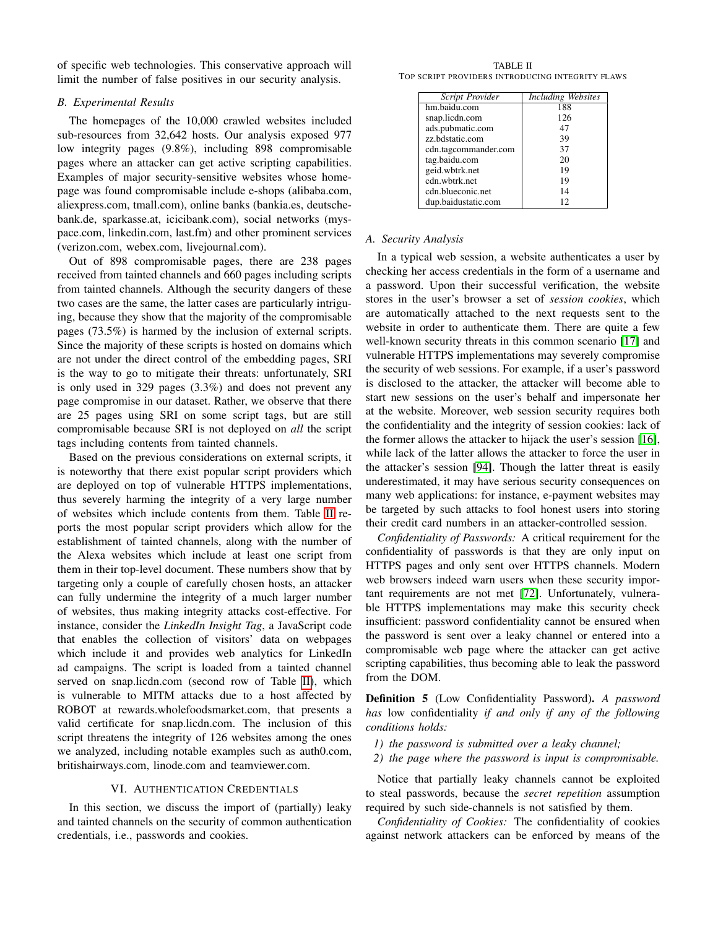of specific web technologies. This conservative approach will limit the number of false positives in our security analysis.

## *B. Experimental Results*

The homepages of the 10,000 crawled websites included sub-resources from 32,642 hosts. Our analysis exposed 977 low integrity pages (9.8%), including 898 compromisable pages where an attacker can get active scripting capabilities. Examples of major security-sensitive websites whose homepage was found compromisable include e-shops (alibaba.com, aliexpress.com, tmall.com), online banks (bankia.es, deutschebank.de, sparkasse.at, icicibank.com), social networks (myspace.com, linkedin.com, last.fm) and other prominent services (verizon.com, webex.com, livejournal.com).

Out of 898 compromisable pages, there are 238 pages received from tainted channels and 660 pages including scripts from tainted channels. Although the security dangers of these two cases are the same, the latter cases are particularly intriguing, because they show that the majority of the compromisable pages (73.5%) is harmed by the inclusion of external scripts. Since the majority of these scripts is hosted on domains which are not under the direct control of the embedding pages, SRI is the way to go to mitigate their threats: unfortunately, SRI is only used in 329 pages (3.3%) and does not prevent any page compromise in our dataset. Rather, we observe that there are 25 pages using SRI on some script tags, but are still compromisable because SRI is not deployed on *all* the script tags including contents from tainted channels.

Based on the previous considerations on external scripts, it is noteworthy that there exist popular script providers which are deployed on top of vulnerable HTTPS implementations, thus severely harming the integrity of a very large number of websites which include contents from them. Table [II](#page-8-1) reports the most popular script providers which allow for the establishment of tainted channels, along with the number of the Alexa websites which include at least one script from them in their top-level document. These numbers show that by targeting only a couple of carefully chosen hosts, an attacker can fully undermine the integrity of a much larger number of websites, thus making integrity attacks cost-effective. For instance, consider the *LinkedIn Insight Tag*, a JavaScript code that enables the collection of visitors' data on webpages which include it and provides web analytics for LinkedIn ad campaigns. The script is loaded from a tainted channel served on snap.licdn.com (second row of Table [II\)](#page-8-1), which is vulnerable to MITM attacks due to a host affected by ROBOT at rewards.wholefoodsmarket.com, that presents a valid certificate for snap.licdn.com. The inclusion of this script threatens the integrity of 126 websites among the ones we analyzed, including notable examples such as auth0.com, britishairways.com, linode.com and teamviewer.com.

# VI. AUTHENTICATION CREDENTIALS

<span id="page-8-0"></span>In this section, we discuss the import of (partially) leaky and tainted channels on the security of common authentication credentials, i.e., passwords and cookies.

<span id="page-8-1"></span>TABLE II TOP SCRIPT PROVIDERS INTRODUCING INTEGRITY FLAWS

| Script Provider      | <b>Including Websites</b> |
|----------------------|---------------------------|
| hm.baidu.com         | 188                       |
| snap.licdn.com       | 126                       |
| ads.pubmatic.com     | 47                        |
| zz.bdstatic.com      | 39                        |
| cdn.tagcommander.com | 37                        |
| tag.baidu.com        | 20                        |
| geid.wbtrk.net       | 19                        |
| cdn.wbtrk.net        | 19                        |
| cdn.blueconic.net    | 14                        |
| dup.baidustatic.com  | 12                        |

## *A. Security Analysis*

In a typical web session, a website authenticates a user by checking her access credentials in the form of a username and a password. Upon their successful verification, the website stores in the user's browser a set of *session cookies*, which are automatically attached to the next requests sent to the website in order to authenticate them. There are quite a few well-known security threats in this common scenario [\[17\]](#page-13-1) and vulnerable HTTPS implementations may severely compromise the security of web sessions. For example, if a user's password is disclosed to the attacker, the attacker will become able to start new sessions on the user's behalf and impersonate her at the website. Moreover, web session security requires both the confidentiality and the integrity of session cookies: lack of the former allows the attacker to hijack the user's session [\[16\]](#page-13-19), while lack of the latter allows the attacker to force the user in the attacker's session [\[94\]](#page-15-10). Though the latter threat is easily underestimated, it may have serious security consequences on many web applications: for instance, e-payment websites may be targeted by such attacks to fool honest users into storing their credit card numbers in an attacker-controlled session.

*Confidentiality of Passwords:* A critical requirement for the confidentiality of passwords is that they are only input on HTTPS pages and only sent over HTTPS channels. Modern web browsers indeed warn users when these security important requirements are not met [\[72\]](#page-14-19). Unfortunately, vulnerable HTTPS implementations may make this security check insufficient: password confidentiality cannot be ensured when the password is sent over a leaky channel or entered into a compromisable web page where the attacker can get active scripting capabilities, thus becoming able to leak the password from the DOM.

Definition 5 (Low Confidentiality Password). *A password has* low confidentiality *if and only if any of the following conditions holds:*

- *1) the password is submitted over a leaky channel;*
- *2) the page where the password is input is compromisable.*

Notice that partially leaky channels cannot be exploited to steal passwords, because the *secret repetition* assumption required by such side-channels is not satisfied by them.

*Confidentiality of Cookies:* The confidentiality of cookies against network attackers can be enforced by means of the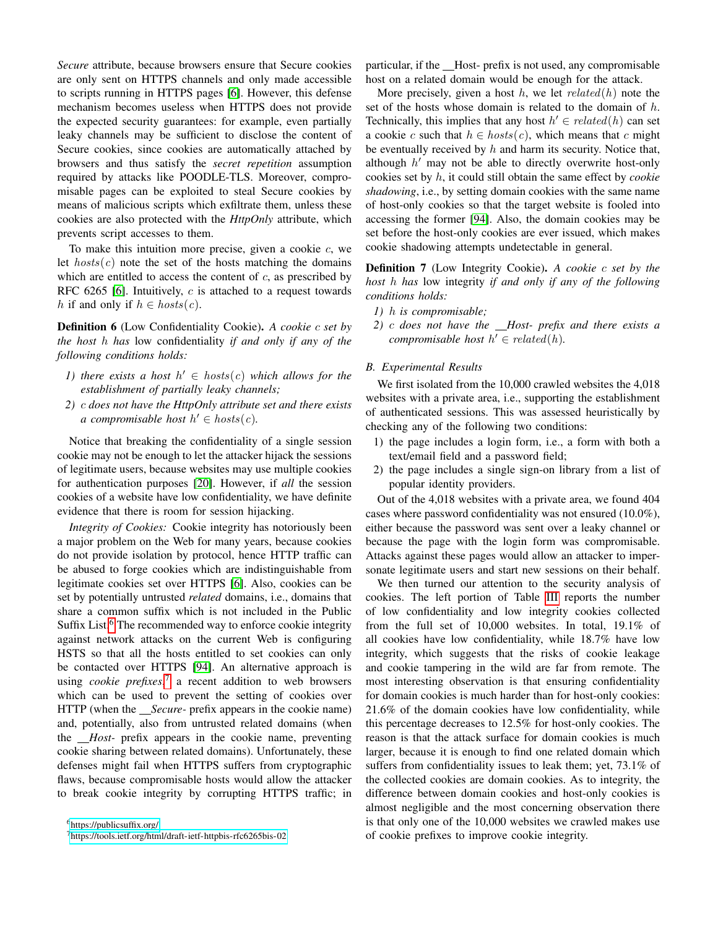*Secure* attribute, because browsers ensure that Secure cookies are only sent on HTTPS channels and only made accessible to scripts running in HTTPS pages [\[6\]](#page-13-20). However, this defense mechanism becomes useless when HTTPS does not provide the expected security guarantees: for example, even partially leaky channels may be sufficient to disclose the content of Secure cookies, since cookies are automatically attached by browsers and thus satisfy the *secret repetition* assumption required by attacks like POODLE-TLS. Moreover, compromisable pages can be exploited to steal Secure cookies by means of malicious scripts which exfiltrate them, unless these cookies are also protected with the *HttpOnly* attribute, which prevents script accesses to them.

To make this intuition more precise, given a cookie  $c$ , we let  $hosts(c)$  note the set of the hosts matching the domains which are entitled to access the content of  $c$ , as prescribed by RFC 6265 [\[6\]](#page-13-20). Intuitively,  $c$  is attached to a request towards h if and only if  $h \in \text{host}(c)$ .

Definition 6 (Low Confidentiality Cookie). *A cookie* c *set by the host* h *has* low confidentiality *if and only if any of the following conditions holds:*

- *1)* there exists a host  $h' \in \text{host}(c)$  which allows for the *establishment of partially leaky channels;*
- *2)* c *does not have the HttpOnly attribute set and there exists a* compromisable host  $h' \in \text{host}(c)$ .

Notice that breaking the confidentiality of a single session cookie may not be enough to let the attacker hijack the sessions of legitimate users, because websites may use multiple cookies for authentication purposes [\[20\]](#page-13-21). However, if *all* the session cookies of a website have low confidentiality, we have definite evidence that there is room for session hijacking.

*Integrity of Cookies:* Cookie integrity has notoriously been a major problem on the Web for many years, because cookies do not provide isolation by protocol, hence HTTP traffic can be abused to forge cookies which are indistinguishable from legitimate cookies set over HTTPS [\[6\]](#page-13-20). Also, cookies can be set by potentially untrusted *related* domains, i.e., domains that share a common suffix which is not included in the Public Suffix List.<sup>[6](#page-9-0)</sup> The recommended way to enforce cookie integrity against network attacks on the current Web is configuring HSTS so that all the hosts entitled to set cookies can only be contacted over HTTPS [\[94\]](#page-15-10). An alternative approach is using *cookie prefixes*, [7](#page-9-1) a recent addition to web browsers which can be used to prevent the setting of cookies over HTTP (when the *Secure-* prefix appears in the cookie name) and, potentially, also from untrusted related domains (when the *Host-* prefix appears in the cookie name, preventing cookie sharing between related domains). Unfortunately, these defenses might fail when HTTPS suffers from cryptographic flaws, because compromisable hosts would allow the attacker to break cookie integrity by corrupting HTTPS traffic; in

particular, if the Host- prefix is not used, any compromisable host on a related domain would be enough for the attack.

More precisely, given a host  $h$ , we let  $related(h)$  note the set of the hosts whose domain is related to the domain of  $h$ . Technically, this implies that any host  $h' \in related(h)$  can set a cookie c such that  $h \in \text{host}(c)$ , which means that c might be eventually received by  $h$  and harm its security. Notice that, although  $h'$  may not be able to directly overwrite host-only cookies set by h, it could still obtain the same effect by *cookie shadowing*, i.e., by setting domain cookies with the same name of host-only cookies so that the target website is fooled into accessing the former [\[94\]](#page-15-10). Also, the domain cookies may be set before the host-only cookies are ever issued, which makes cookie shadowing attempts undetectable in general.

Definition 7 (Low Integrity Cookie). *A cookie* c *set by the host* h *has* low integrity *if and only if any of the following conditions holds:*

- *1)* h *is compromisable;*
- *2)* c *does not have the Host- prefix and there exists a compromisable host*  $h' \in related(h)$ *.*

#### *B. Experimental Results*

We first isolated from the 10,000 crawled websites the 4,018 websites with a private area, i.e., supporting the establishment of authenticated sessions. This was assessed heuristically by checking any of the following two conditions:

- 1) the page includes a login form, i.e., a form with both a text/email field and a password field;
- 2) the page includes a single sign-on library from a list of popular identity providers.

Out of the 4,018 websites with a private area, we found 404 cases where password confidentiality was not ensured (10.0%), either because the password was sent over a leaky channel or because the page with the login form was compromisable. Attacks against these pages would allow an attacker to impersonate legitimate users and start new sessions on their behalf.

We then turned our attention to the security analysis of cookies. The left portion of Table [III](#page-10-1) reports the number of low confidentiality and low integrity cookies collected from the full set of 10,000 websites. In total, 19.1% of all cookies have low confidentiality, while 18.7% have low integrity, which suggests that the risks of cookie leakage and cookie tampering in the wild are far from remote. The most interesting observation is that ensuring confidentiality for domain cookies is much harder than for host-only cookies: 21.6% of the domain cookies have low confidentiality, while this percentage decreases to 12.5% for host-only cookies. The reason is that the attack surface for domain cookies is much larger, because it is enough to find one related domain which suffers from confidentiality issues to leak them; yet, 73.1% of the collected cookies are domain cookies. As to integrity, the difference between domain cookies and host-only cookies is almost negligible and the most concerning observation there is that only one of the 10,000 websites we crawled makes use of cookie prefixes to improve cookie integrity.

<span id="page-9-0"></span><sup>6</sup><https://publicsuffix.org/>

<span id="page-9-1"></span><sup>7</sup><https://tools.ietf.org/html/draft-ietf-httpbis-rfc6265bis-02>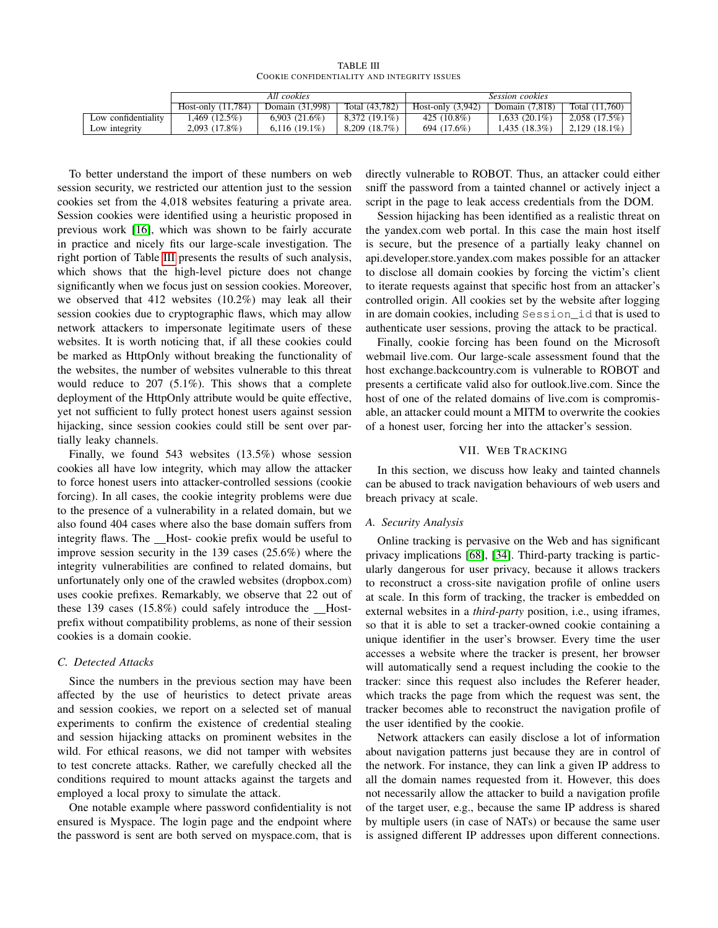TABLE III COOKIE CONFIDENTIALITY AND INTEGRITY ISSUES

<span id="page-10-1"></span>

|                     | All cookies        |                 |                 | <i>Session cookies</i> |                 |                  |
|---------------------|--------------------|-----------------|-----------------|------------------------|-----------------|------------------|
|                     | Host-only (11.784) | Domain (31.998) | Total (43.782)  | Host-only $(3.942)$    | Domain (7.818)  | Total $(11.760)$ |
| Low confidentiality | $1.469(12.5\%)$    | 6.903(21.6%)    | $8.372(19.1\%)$ | 425 $(10.8\%)$         | $1.633(20.1\%)$ | 2.058(17.5%)     |
| Low integrity       | 2,093 (17.8%)      | $6.116(19.1\%)$ | 8.209 (18.7%)   | 694 (17.6%)            | 1.435(18.3%)    | $2,129$ (18.1%)  |

To better understand the import of these numbers on web session security, we restricted our attention just to the session cookies set from the 4,018 websites featuring a private area. Session cookies were identified using a heuristic proposed in previous work [\[16\]](#page-13-19), which was shown to be fairly accurate in practice and nicely fits our large-scale investigation. The right portion of Table [III](#page-10-1) presents the results of such analysis, which shows that the high-level picture does not change significantly when we focus just on session cookies. Moreover, we observed that 412 websites (10.2%) may leak all their session cookies due to cryptographic flaws, which may allow network attackers to impersonate legitimate users of these websites. It is worth noticing that, if all these cookies could be marked as HttpOnly without breaking the functionality of the websites, the number of websites vulnerable to this threat would reduce to 207 (5.1%). This shows that a complete deployment of the HttpOnly attribute would be quite effective, yet not sufficient to fully protect honest users against session hijacking, since session cookies could still be sent over partially leaky channels.

Finally, we found 543 websites (13.5%) whose session cookies all have low integrity, which may allow the attacker to force honest users into attacker-controlled sessions (cookie forcing). In all cases, the cookie integrity problems were due to the presence of a vulnerability in a related domain, but we also found 404 cases where also the base domain suffers from integrity flaws. The \_Host- cookie prefix would be useful to improve session security in the 139 cases (25.6%) where the integrity vulnerabilities are confined to related domains, but unfortunately only one of the crawled websites (dropbox.com) uses cookie prefixes. Remarkably, we observe that 22 out of these 139 cases  $(15.8\%)$  could safely introduce the Hostprefix without compatibility problems, as none of their session cookies is a domain cookie.

#### *C. Detected Attacks*

Since the numbers in the previous section may have been affected by the use of heuristics to detect private areas and session cookies, we report on a selected set of manual experiments to confirm the existence of credential stealing and session hijacking attacks on prominent websites in the wild. For ethical reasons, we did not tamper with websites to test concrete attacks. Rather, we carefully checked all the conditions required to mount attacks against the targets and employed a local proxy to simulate the attack.

One notable example where password confidentiality is not ensured is Myspace. The login page and the endpoint where the password is sent are both served on myspace.com, that is directly vulnerable to ROBOT. Thus, an attacker could either sniff the password from a tainted channel or actively inject a script in the page to leak access credentials from the DOM.

Session hijacking has been identified as a realistic threat on the yandex.com web portal. In this case the main host itself is secure, but the presence of a partially leaky channel on api.developer.store.yandex.com makes possible for an attacker to disclose all domain cookies by forcing the victim's client to iterate requests against that specific host from an attacker's controlled origin. All cookies set by the website after logging in are domain cookies, including Session\_id that is used to authenticate user sessions, proving the attack to be practical.

Finally, cookie forcing has been found on the Microsoft webmail live.com. Our large-scale assessment found that the host exchange.backcountry.com is vulnerable to ROBOT and presents a certificate valid also for outlook.live.com. Since the host of one of the related domains of live.com is compromisable, an attacker could mount a MITM to overwrite the cookies of a honest user, forcing her into the attacker's session.

#### VII. WEB TRACKING

<span id="page-10-0"></span>In this section, we discuss how leaky and tainted channels can be abused to track navigation behaviours of web users and breach privacy at scale.

# *A. Security Analysis*

Online tracking is pervasive on the Web and has significant privacy implications [\[68\]](#page-14-20), [\[34\]](#page-13-22). Third-party tracking is particularly dangerous for user privacy, because it allows trackers to reconstruct a cross-site navigation profile of online users at scale. In this form of tracking, the tracker is embedded on external websites in a *third-party* position, i.e., using iframes, so that it is able to set a tracker-owned cookie containing a unique identifier in the user's browser. Every time the user accesses a website where the tracker is present, her browser will automatically send a request including the cookie to the tracker: since this request also includes the Referer header, which tracks the page from which the request was sent, the tracker becomes able to reconstruct the navigation profile of the user identified by the cookie.

Network attackers can easily disclose a lot of information about navigation patterns just because they are in control of the network. For instance, they can link a given IP address to all the domain names requested from it. However, this does not necessarily allow the attacker to build a navigation profile of the target user, e.g., because the same IP address is shared by multiple users (in case of NATs) or because the same user is assigned different IP addresses upon different connections.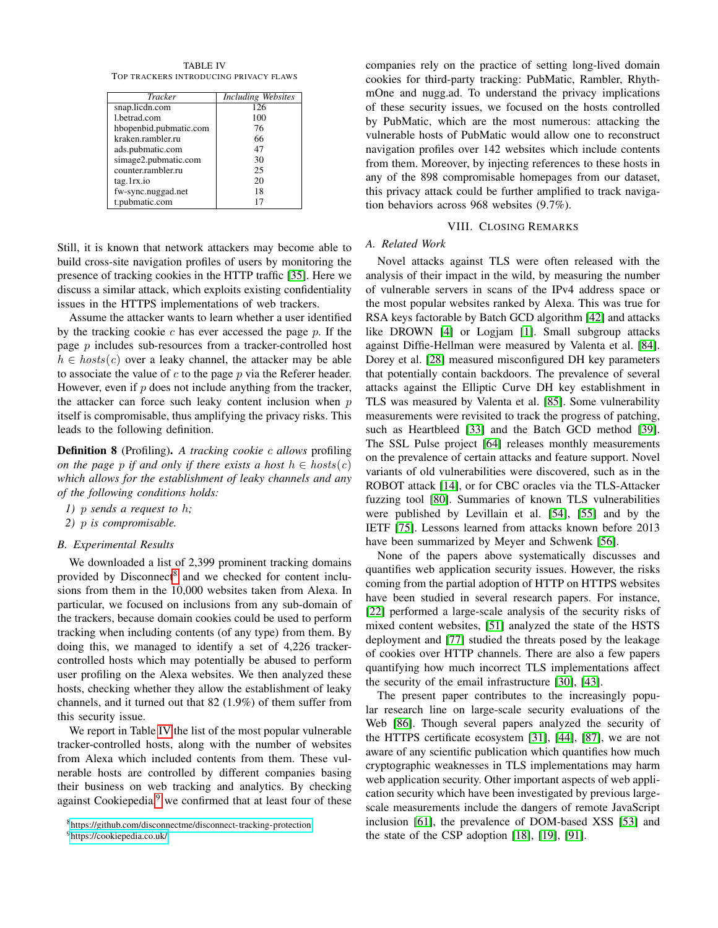<span id="page-11-2"></span>TABLE IV TOP TRACKERS INTRODUCING PRIVACY FLAWS

| <b>Tracker</b>         | <b>Including Websites</b> |
|------------------------|---------------------------|
| snap.licdn.com         | 126                       |
| 1.betrad.com           | 100                       |
| hbopenbid.pubmatic.com | 76                        |
| kraken.rambler.ru      | 66                        |
| ads.pubmatic.com       | 47                        |
| simage2.pubmatic.com   | 30                        |
| counter.rambler.ru     | 25                        |
| tag.1rx.io             | 20                        |
| fw-sync.nuggad.net     | 18                        |
| t.pubmatic.com         | 17                        |

Still, it is known that network attackers may become able to build cross-site navigation profiles of users by monitoring the presence of tracking cookies in the HTTP traffic [\[35\]](#page-13-23). Here we discuss a similar attack, which exploits existing confidentiality issues in the HTTPS implementations of web trackers.

Assume the attacker wants to learn whether a user identified by the tracking cookie  $c$  has ever accessed the page  $p$ . If the page  $p$  includes sub-resources from a tracker-controlled host  $h \in \text{host}(c)$  over a leaky channel, the attacker may be able to associate the value of  $c$  to the page  $p$  via the Referer header. However, even if  $p$  does not include anything from the tracker, the attacker can force such leaky content inclusion when  $p$ itself is compromisable, thus amplifying the privacy risks. This leads to the following definition.

Definition 8 (Profiling). *A tracking cookie* c *allows* profiling *on the page* p *if and only if there exists a host*  $h \in \text{hosts}(c)$ *which allows for the establishment of leaky channels and any of the following conditions holds:*

- *1)* p *sends a request to* h*;*
- *2)* p *is compromisable.*

#### *B. Experimental Results*

We downloaded a list of 2,399 prominent tracking domains provided by Disconnect<sup>[8](#page-11-1)</sup> and we checked for content inclusions from them in the 10,000 websites taken from Alexa. In particular, we focused on inclusions from any sub-domain of the trackers, because domain cookies could be used to perform tracking when including contents (of any type) from them. By doing this, we managed to identify a set of 4,226 trackercontrolled hosts which may potentially be abused to perform user profiling on the Alexa websites. We then analyzed these hosts, checking whether they allow the establishment of leaky channels, and it turned out that 82 (1.9%) of them suffer from this security issue.

We report in Table [IV](#page-11-2) the list of the most popular vulnerable tracker-controlled hosts, along with the number of websites from Alexa which included contents from them. These vulnerable hosts are controlled by different companies basing their business on web tracking and analytics. By checking against Cookiepedia, $9$  we confirmed that at least four of these companies rely on the practice of setting long-lived domain cookies for third-party tracking: PubMatic, Rambler, RhythmOne and nugg.ad. To understand the privacy implications of these security issues, we focused on the hosts controlled by PubMatic, which are the most numerous: attacking the vulnerable hosts of PubMatic would allow one to reconstruct navigation profiles over 142 websites which include contents from them. Moreover, by injecting references to these hosts in any of the 898 compromisable homepages from our dataset, this privacy attack could be further amplified to track navigation behaviors across 968 websites (9.7%).

# VIII. CLOSING REMARKS

# <span id="page-11-0"></span>*A. Related Work*

Novel attacks against TLS were often released with the analysis of their impact in the wild, by measuring the number of vulnerable servers in scans of the IPv4 address space or the most popular websites ranked by Alexa. This was true for RSA keys factorable by Batch GCD algorithm [\[42\]](#page-14-21) and attacks like DROWN [\[4\]](#page-13-3) or Logjam [\[1\]](#page-13-2). Small subgroup attacks against Diffie-Hellman were measured by Valenta et al. [\[84\]](#page-15-0). Dorey et al. [\[28\]](#page-13-7) measured misconfigured DH key parameters that potentially contain backdoors. The prevalence of several attacks against the Elliptic Curve DH key establishment in TLS was measured by Valenta et al. [\[85\]](#page-15-1). Some vulnerability measurements were revisited to track the progress of patching, such as Heartbleed [\[33\]](#page-13-16) and the Batch GCD method [\[39\]](#page-13-8). The SSL Pulse project [\[64\]](#page-14-3) releases monthly measurements on the prevalence of certain attacks and feature support. Novel variants of old vulnerabilities were discovered, such as in the ROBOT attack [\[14\]](#page-13-6), or for CBC oracles via the TLS-Attacker fuzzing tool [\[80\]](#page-14-17). Summaries of known TLS vulnerabilities were published by Levillain et al. [\[54\]](#page-14-22), [\[55\]](#page-14-23) and by the IETF [\[75\]](#page-14-24). Lessons learned from attacks known before 2013 have been summarized by Meyer and Schwenk [\[56\]](#page-14-25).

None of the papers above systematically discusses and quantifies web application security issues. However, the risks coming from the partial adoption of HTTP on HTTPS websites have been studied in several research papers. For instance, [\[22\]](#page-13-24) performed a large-scale analysis of the security risks of mixed content websites, [\[51\]](#page-14-26) analyzed the state of the HSTS deployment and [\[77\]](#page-14-27) studied the threats posed by the leakage of cookies over HTTP channels. There are also a few papers quantifying how much incorrect TLS implementations affect the security of the email infrastructure [\[30\]](#page-13-25), [\[43\]](#page-14-28).

The present paper contributes to the increasingly popular research line on large-scale security evaluations of the Web [\[86\]](#page-15-11). Though several papers analyzed the security of the HTTPS certificate ecosystem [\[31\]](#page-13-26), [\[44\]](#page-14-29), [\[87\]](#page-15-12), we are not aware of any scientific publication which quantifies how much cryptographic weaknesses in TLS implementations may harm web application security. Other important aspects of web application security which have been investigated by previous largescale measurements include the dangers of remote JavaScript inclusion [\[61\]](#page-14-30), the prevalence of DOM-based XSS [\[53\]](#page-14-31) and the state of the CSP adoption [\[18\]](#page-13-27), [\[19\]](#page-13-28), [\[91\]](#page-15-8).

<span id="page-11-1"></span><sup>8</sup><https://github.com/disconnectme/disconnect-tracking-protection>

<span id="page-11-3"></span><sup>9</sup><https://cookiepedia.co.uk/>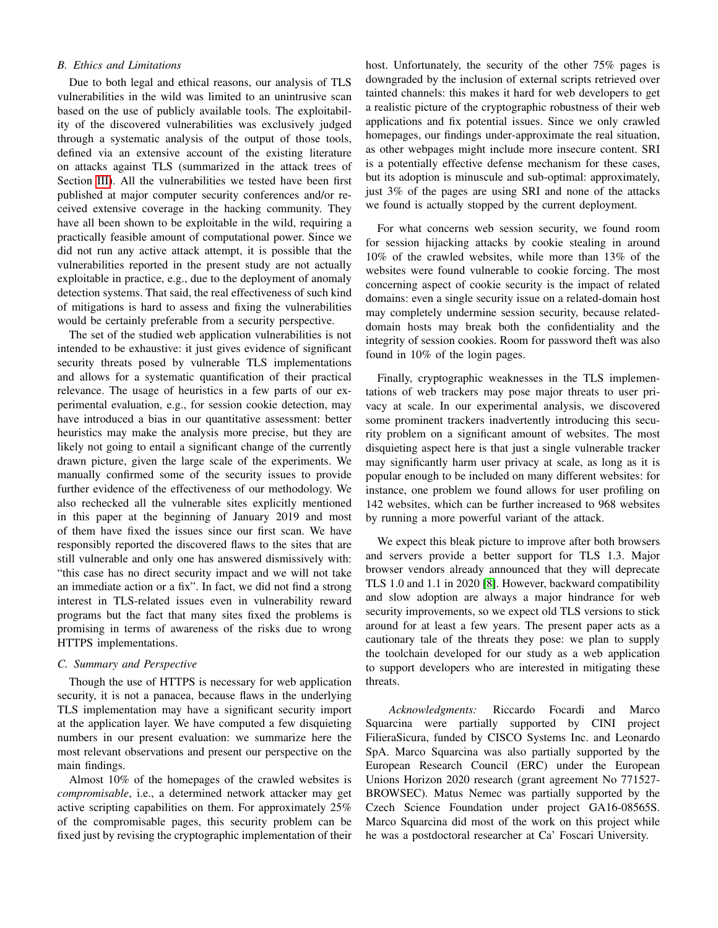# *B. Ethics and Limitations*

Due to both legal and ethical reasons, our analysis of TLS vulnerabilities in the wild was limited to an unintrusive scan based on the use of publicly available tools. The exploitability of the discovered vulnerabilities was exclusively judged through a systematic analysis of the output of those tools, defined via an extensive account of the existing literature on attacks against TLS (summarized in the attack trees of Section [III\)](#page-2-0). All the vulnerabilities we tested have been first published at major computer security conferences and/or received extensive coverage in the hacking community. They have all been shown to be exploitable in the wild, requiring a practically feasible amount of computational power. Since we did not run any active attack attempt, it is possible that the vulnerabilities reported in the present study are not actually exploitable in practice, e.g., due to the deployment of anomaly detection systems. That said, the real effectiveness of such kind of mitigations is hard to assess and fixing the vulnerabilities would be certainly preferable from a security perspective.

The set of the studied web application vulnerabilities is not intended to be exhaustive: it just gives evidence of significant security threats posed by vulnerable TLS implementations and allows for a systematic quantification of their practical relevance. The usage of heuristics in a few parts of our experimental evaluation, e.g., for session cookie detection, may have introduced a bias in our quantitative assessment: better heuristics may make the analysis more precise, but they are likely not going to entail a significant change of the currently drawn picture, given the large scale of the experiments. We manually confirmed some of the security issues to provide further evidence of the effectiveness of our methodology. We also rechecked all the vulnerable sites explicitly mentioned in this paper at the beginning of January 2019 and most of them have fixed the issues since our first scan. We have responsibly reported the discovered flaws to the sites that are still vulnerable and only one has answered dismissively with: "this case has no direct security impact and we will not take an immediate action or a fix". In fact, we did not find a strong interest in TLS-related issues even in vulnerability reward programs but the fact that many sites fixed the problems is promising in terms of awareness of the risks due to wrong HTTPS implementations.

### *C. Summary and Perspective*

Though the use of HTTPS is necessary for web application security, it is not a panacea, because flaws in the underlying TLS implementation may have a significant security import at the application layer. We have computed a few disquieting numbers in our present evaluation: we summarize here the most relevant observations and present our perspective on the main findings.

Almost 10% of the homepages of the crawled websites is *compromisable*, i.e., a determined network attacker may get active scripting capabilities on them. For approximately 25% of the compromisable pages, this security problem can be fixed just by revising the cryptographic implementation of their

host. Unfortunately, the security of the other 75% pages is downgraded by the inclusion of external scripts retrieved over tainted channels: this makes it hard for web developers to get a realistic picture of the cryptographic robustness of their web applications and fix potential issues. Since we only crawled homepages, our findings under-approximate the real situation, as other webpages might include more insecure content. SRI is a potentially effective defense mechanism for these cases, but its adoption is minuscule and sub-optimal: approximately, just 3% of the pages are using SRI and none of the attacks we found is actually stopped by the current deployment.

For what concerns web session security, we found room for session hijacking attacks by cookie stealing in around 10% of the crawled websites, while more than 13% of the websites were found vulnerable to cookie forcing. The most concerning aspect of cookie security is the impact of related domains: even a single security issue on a related-domain host may completely undermine session security, because relateddomain hosts may break both the confidentiality and the integrity of session cookies. Room for password theft was also found in 10% of the login pages.

Finally, cryptographic weaknesses in the TLS implementations of web trackers may pose major threats to user privacy at scale. In our experimental analysis, we discovered some prominent trackers inadvertently introducing this security problem on a significant amount of websites. The most disquieting aspect here is that just a single vulnerable tracker may significantly harm user privacy at scale, as long as it is popular enough to be included on many different websites: for instance, one problem we found allows for user profiling on 142 websites, which can be further increased to 968 websites by running a more powerful variant of the attack.

We expect this bleak picture to improve after both browsers and servers provide a better support for TLS 1.3. Major browser vendors already announced that they will deprecate TLS 1.0 and 1.1 in 2020 [\[8\]](#page-13-29). However, backward compatibility and slow adoption are always a major hindrance for web security improvements, so we expect old TLS versions to stick around for at least a few years. The present paper acts as a cautionary tale of the threats they pose: we plan to supply the toolchain developed for our study as a web application to support developers who are interested in mitigating these threats.

*Acknowledgments:* Riccardo Focardi and Marco Squarcina were partially supported by CINI project FilieraSicura, funded by CISCO Systems Inc. and Leonardo SpA. Marco Squarcina was also partially supported by the European Research Council (ERC) under the European Unions Horizon 2020 research (grant agreement No 771527- BROWSEC). Matus Nemec was partially supported by the Czech Science Foundation under project GA16-08565S. Marco Squarcina did most of the work on this project while he was a postdoctoral researcher at Ca' Foscari University.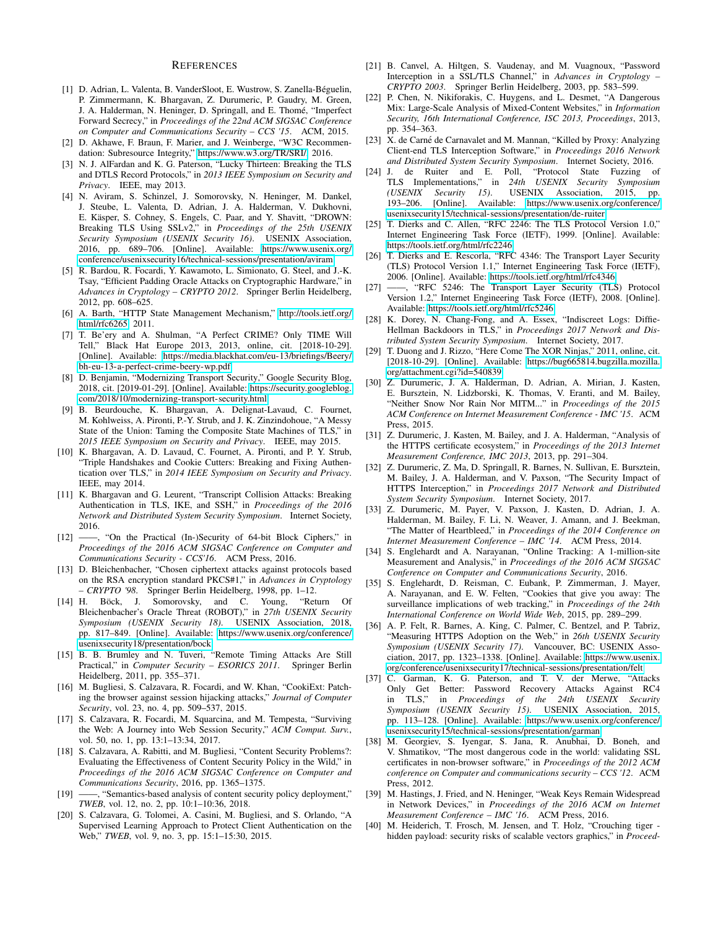#### **REFERENCES**

- <span id="page-13-2"></span>[1] D. Adrian, L. Valenta, B. VanderSloot, E. Wustrow, S. Zanella-Béguelin, P. Zimmermann, K. Bhargavan, Z. Durumeric, P. Gaudry, M. Green, J. A. Halderman, N. Heninger, D. Springall, and E. Thome, "Imperfect ´ Forward Secrecy," in *Proceedings of the 22nd ACM SIGSAC Conference on Computer and Communications Security – CCS '15*. ACM, 2015.
- <span id="page-13-17"></span>[2] D. Akhawe, F. Braun, F. Marier, and J. Weinberge, "W3C Recommendation: Subresource Integrity," [https://www.w3.org/TR/SRI/,](https://www.w3.org/TR/SRI/) 2016.
- <span id="page-13-10"></span>[3] N. J. AlFardan and K. G. Paterson, "Lucky Thirteen: Breaking the TLS and DTLS Record Protocols," in *2013 IEEE Symposium on Security and Privacy*. IEEE, may 2013.
- <span id="page-13-3"></span>[4] N. Aviram, S. Schinzel, J. Somorovsky, N. Heninger, M. Dankel, J. Steube, L. Valenta, D. Adrian, J. A. Halderman, V. Dukhovni, E. Käsper, S. Cohney, S. Engels, C. Paar, and Y. Shavitt, "DROWN: Breaking TLS Using SSLv2," in *Proceedings of the 25th USENIX Security Symposium (USENIX Security 16)*. USENIX Association, 2016, pp. 689–706. [Online]. Available: [https://www.usenix.org/](https://www.usenix.org/conference/usenixsecurity16/technical-sessions/presentation/aviram) [conference/usenixsecurity16/technical-sessions/presentation/aviram](https://www.usenix.org/conference/usenixsecurity16/technical-sessions/presentation/aviram)
- <span id="page-13-11"></span>[5] R. Bardou, R. Focardi, Y. Kawamoto, L. Simionato, G. Steel, and J.-K. Tsay, "Efficient Padding Oracle Attacks on Cryptographic Hardware," in *Advances in Cryptology – CRYPTO 2012*. Springer Berlin Heidelberg, 2012, pp. 608–625.
- <span id="page-13-20"></span>[6] A. Barth, "HTTP State Management Mechanism," [http://tools.ietf.org/](http://tools.ietf.org/html/rfc6265) [html/rfc6265,](http://tools.ietf.org/html/rfc6265) 2011.
- <span id="page-13-38"></span>[7] T. Be'ery and A. Shulman, "A Perfect CRIME? Only TIME Will Tell," Black Hat Europe 2013, 2013, online, cit. [2018-10-29]. [Online]. Available: [https://media.blackhat.com/eu-13/briefings/Beery/](https://media.blackhat.com/eu-13/briefings/Beery/bh-eu-13-a-perfect-crime-beery-wp.pdf) [bh-eu-13-a-perfect-crime-beery-wp.pdf](https://media.blackhat.com/eu-13/briefings/Beery/bh-eu-13-a-perfect-crime-beery-wp.pdf)
- <span id="page-13-29"></span>[8] D. Benjamin, "Modernizing Transport Security," Google Security Blog, 2018, cit. [2019-01-29]. [Online]. Available: [https://security.googleblog.](https://security.googleblog.com/2018/10/modernizing-transport-security.html) [com/2018/10/modernizing-transport-security.html](https://security.googleblog.com/2018/10/modernizing-transport-security.html)
- <span id="page-13-4"></span>[9] B. Beurdouche, K. Bhargavan, A. Delignat-Lavaud, C. Fournet, M. Kohlweiss, A. Pironti, P.-Y. Strub, and J. K. Zinzindohoue, "A Messy State of the Union: Taming the Composite State Machines of TLS," in *2015 IEEE Symposium on Security and Privacy*. IEEE, may 2015.
- <span id="page-13-39"></span>[10] K. Bhargavan, A. D. Lavaud, C. Fournet, A. Pironti, and P. Y. Strub, "Triple Handshakes and Cookie Cutters: Breaking and Fixing Authentication over TLS," in *2014 IEEE Symposium on Security and Privacy*. IEEE, may 2014.
- <span id="page-13-5"></span>[11] K. Bhargavan and G. Leurent, "Transcript Collision Attacks: Breaking Authentication in TLS, IKE, and SSH," in *Proceedings of the 2016 Network and Distributed System Security Symposium*. Internet Society, 2016.
- <span id="page-13-36"></span>[12] ——, "On the Practical (In-)Security of 64-bit Block Ciphers," in *Proceedings of the 2016 ACM SIGSAC Conference on Computer and Communications Security - CCS'16*. ACM Press, 2016.
- <span id="page-13-9"></span>[13] D. Bleichenbacher, "Chosen ciphertext attacks against protocols based on the RSA encryption standard PKCS#1," in *Advances in Cryptology – CRYPTO '98*. Springer Berlin Heidelberg, 1998, pp. 1–12.
- <span id="page-13-6"></span>[14] H. Böck, J. Somorovsky, and C. Young, Bleichenbacher's Oracle Threat (ROBOT)," in *27th USENIX Security Symposium (USENIX Security 18)*. USENIX Association, 2018, pp. 817–849. [Online]. Available: [https://www.usenix.org/conference/](https://www.usenix.org/conference/usenixsecurity18/presentation/bock) [usenixsecurity18/presentation/bock](https://www.usenix.org/conference/usenixsecurity18/presentation/bock)
- <span id="page-13-31"></span>[15] B. B. Brumley and N. Tuveri, "Remote Timing Attacks Are Still Practical," in *Computer Security – ESORICS 2011*. Springer Berlin Heidelberg, 2011, pp. 355–371.
- <span id="page-13-19"></span>[16] M. Bugliesi, S. Calzavara, R. Focardi, and W. Khan, "CookiExt: Patching the browser against session hijacking attacks," *Journal of Computer Security*, vol. 23, no. 4, pp. 509–537, 2015.
- <span id="page-13-1"></span>[17] S. Calzavara, R. Focardi, M. Squarcina, and M. Tempesta, "Surviving the Web: A Journey into Web Session Security," *ACM Comput. Surv.*, vol. 50, no. 1, pp. 13:1–13:34, 2017.
- <span id="page-13-27"></span>[18] S. Calzavara, A. Rabitti, and M. Bugliesi, "Content Security Problems?: Evaluating the Effectiveness of Content Security Policy in the Wild," in *Proceedings of the 2016 ACM SIGSAC Conference on Computer and Communications Security*, 2016, pp. 1365–1375.
- <span id="page-13-28"></span>[19] ——, "Semantics-based analysis of content security policy deployment," *TWEB*, vol. 12, no. 2, pp. 10:1–10:36, 2018.
- <span id="page-13-21"></span>[20] S. Calzavara, G. Tolomei, A. Casini, M. Bugliesi, and S. Orlando, "A Supervised Learning Approach to Protect Client Authentication on the Web," *TWEB*, vol. 9, no. 3, pp. 15:1–15:30, 2015.
- <span id="page-13-15"></span>[21] B. Canvel, A. Hiltgen, S. Vaudenay, and M. Vuagnoux, "Password Interception in a SSL/TLS Channel," in *Advances in Cryptology – CRYPTO 2003*. Springer Berlin Heidelberg, 2003, pp. 583–599.
- <span id="page-13-24"></span>[22] P. Chen, N. Nikiforakis, C. Huygens, and L. Desmet, "A Dangerous Mix: Large-Scale Analysis of Mixed-Content Websites," in *Information Security, 16th International Conference, ISC 2013, Proceedings*, 2013, pp. 354–363.
- <span id="page-13-33"></span>[23] X. de Carné de Carnavalet and M. Mannan, "Killed by Proxy: Analyzing Client-end TLS Interception Software," in *Proceedings 2016 Network and Distributed System Security Symposium*. Internet Society, 2016.
- <span id="page-13-30"></span>[24] J. de Ruiter and E. Poll, "Protocol State Fuzzing of TLS Implementations," in *24th USENIX Security Symposium (USENIX Security 15).* USENIX Association, 193–206. [Online]. Available: [https://www.usenix.org/conference/](https://www.usenix.org/conference/usenixsecurity15/technical-sessions/presentation/de-ruiter) [usenixsecurity15/technical-sessions/presentation/de-ruiter](https://www.usenix.org/conference/usenixsecurity15/technical-sessions/presentation/de-ruiter)
- <span id="page-13-12"></span>[25] T. Dierks and C. Allen, "RFC 2246: The TLS Protocol Version 1.0," Internet Engineering Task Force (IETF), 1999. [Online]. Available: <https://tools.ietf.org/html/rfc2246>
- <span id="page-13-13"></span>[26] T. Dierks and E. Rescorla, "RFC 4346: The Transport Layer Security (TLS) Protocol Version 1.1," Internet Engineering Task Force (IETF), 2006. [Online]. Available:<https://tools.ietf.org/html/rfc4346>
- <span id="page-13-14"></span>[27] ——, "RFC 5246: The Transport Layer Security (TLS) Protocol Version 1.2," Internet Engineering Task Force (IETF), 2008. [Online]. Available:<https://tools.ietf.org/html/rfc5246>
- <span id="page-13-7"></span>[28] K. Dorey, N. Chang-Fong, and A. Essex, "Indiscreet Logs: Diffie-Hellman Backdoors in TLS," in *Proceedings 2017 Network and Distributed System Security Symposium*. Internet Society, 2017.
- <span id="page-13-35"></span>[29] T. Duong and J. Rizzo, "Here Come The XOR Ninjas," 2011, online, cit. [2018-10-29]. [Online]. Available: [https://bug665814.bugzilla.mozilla.](https://bug665814.bugzilla.mozilla.org/attachment.cgi?id=540839) [org/attachment.cgi?id=540839](https://bug665814.bugzilla.mozilla.org/attachment.cgi?id=540839)
- <span id="page-13-25"></span>[30] Z. Durumeric, J. A. Halderman, D. Adrian, A. Mirian, J. Kasten, E. Bursztein, N. Lidzborski, K. Thomas, V. Eranti, and M. Bailey, "Neither Snow Nor Rain Nor MITM..." in *Proceedings of the 2015 ACM Conference on Internet Measurement Conference - IMC '15*. ACM Press, 2015.
- <span id="page-13-26"></span>[31] Z. Durumeric, J. Kasten, M. Bailey, and J. A. Halderman, "Analysis of the HTTPS certificate ecosystem," in *Proceedings of the 2013 Internet Measurement Conference, IMC 2013*, 2013, pp. 291–304.
- <span id="page-13-34"></span>[32] Z. Durumeric, Z. Ma, D. Springall, R. Barnes, N. Sullivan, E. Bursztein, M. Bailey, J. A. Halderman, and V. Paxson, "The Security Impact of HTTPS Interception," in *Proceedings 2017 Network and Distributed System Security Symposium*. Internet Society, 2017.
- <span id="page-13-16"></span>[33] Z. Durumeric, M. Payer, V. Paxson, J. Kasten, D. Adrian, J. A. Halderman, M. Bailey, F. Li, N. Weaver, J. Amann, and J. Beekman, "The Matter of Heartbleed," in *Proceedings of the 2014 Conference on Internet Measurement Conference – IMC '14*. ACM Press, 2014.
- <span id="page-13-22"></span>[34] S. Englehardt and A. Narayanan, "Online Tracking: A 1-million-site Measurement and Analysis," in *Proceedings of the 2016 ACM SIGSAC Conference on Computer and Communications Security*, 2016.
- <span id="page-13-23"></span>[35] S. Englehardt, D. Reisman, C. Eubank, P. Zimmerman, J. Mayer, A. Narayanan, and E. W. Felten, "Cookies that give you away: The surveillance implications of web tracking," in *Proceedings of the 24th International Conference on World Wide Web*, 2015, pp. 289–299.
- <span id="page-13-0"></span>[36] A. P. Felt, R. Barnes, A. King, C. Palmer, C. Bentzel, and P. Tabriz, "Measuring HTTPS Adoption on the Web," in *26th USENIX Security Symposium (USENIX Security 17)*. Vancouver, BC: USENIX Association, 2017, pp. 1323–1338. [Online]. Available: [https://www.usenix.](https://www.usenix.org/conference/usenixsecurity17/technical-sessions/presentation/felt) [org/conference/usenixsecurity17/technical-sessions/presentation/felt](https://www.usenix.org/conference/usenixsecurity17/technical-sessions/presentation/felt)
- <span id="page-13-37"></span>[37] C. Garman, K. G. Paterson, and T. V. der Merwe, "Attacks Only Get Better: Password Recovery Attacks Against RC4 in TLS," in *Proceedings of the 24th USENIX Security Symposium (USENIX Security 15)*. USENIX Association, 2015, pp. 113–128. [Online]. Available: [https://www.usenix.org/conference/](https://www.usenix.org/conference/usenixsecurity15/technical-sessions/presentation/garman) [usenixsecurity15/technical-sessions/presentation/garman](https://www.usenix.org/conference/usenixsecurity15/technical-sessions/presentation/garman)
- <span id="page-13-32"></span>[38] M. Georgiev, S. Iyengar, S. Jana, R. Anubhai, D. Boneh, and V. Shmatikov, "The most dangerous code in the world: validating SSL certificates in non-browser software," in *Proceedings of the 2012 ACM conference on Computer and communications security – CCS '12*. ACM Press, 2012.
- <span id="page-13-8"></span>[39] M. Hastings, J. Fried, and N. Heninger, "Weak Keys Remain Widespread in Network Devices," in *Proceedings of the 2016 ACM on Internet Measurement Conference – IMC '16*. ACM Press, 2016.
- <span id="page-13-18"></span>[40] M. Heiderich, T. Frosch, M. Jensen, and T. Holz, "Crouching tiger hidden payload: security risks of scalable vectors graphics," in *Proceed-*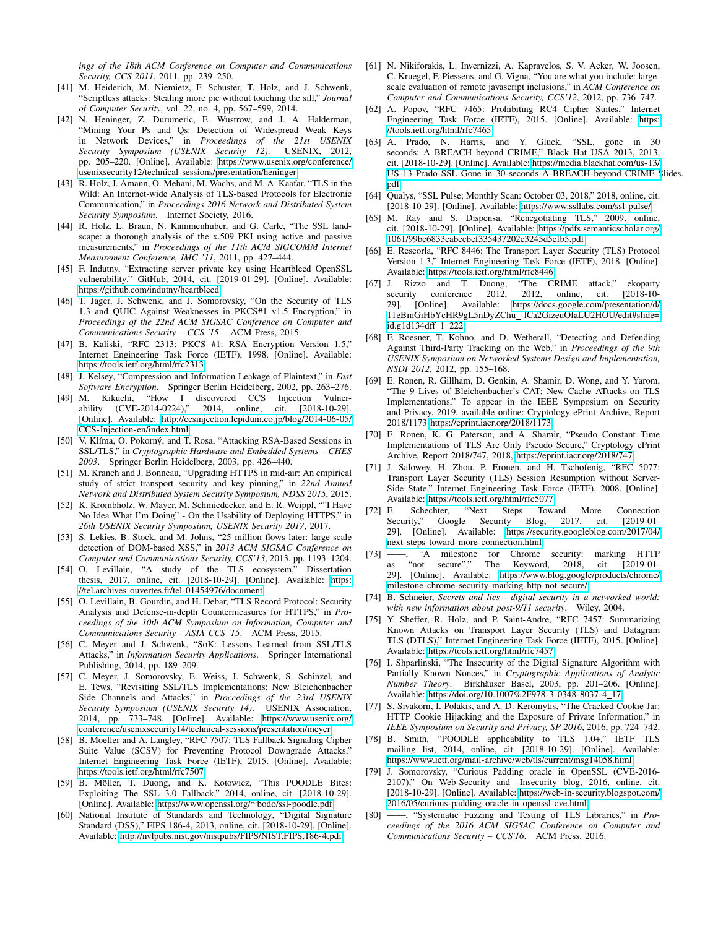*ings of the 18th ACM Conference on Computer and Communications Security, CCS 2011*, 2011, pp. 239–250.

- <span id="page-14-18"></span>[41] M. Heiderich, M. Niemietz, F. Schuster, T. Holz, and J. Schwenk, "Scriptless attacks: Stealing more pie without touching the sill," *Journal of Computer Security*, vol. 22, no. 4, pp. 567–599, 2014.
- <span id="page-14-21"></span>[42] N. Heninger, Z. Durumeric, E. Wustrow, and J. A. Halderman, "Mining Your Ps and Qs: Detection of Widespread Weak Keys in Network Devices," in *Proceedings of the 21st USENIX Security Symposium (USENIX Security 12)*. USENIX, 2012, pp. 205–220. [Online]. Available: [https://www.usenix.org/conference/](https://www.usenix.org/conference/usenixsecurity12/technical-sessions/presentation/heninger) [usenixsecurity12/technical-sessions/presentation/heninger](https://www.usenix.org/conference/usenixsecurity12/technical-sessions/presentation/heninger)
- <span id="page-14-28"></span>[43] R. Holz, J. Amann, O. Mehani, M. Wachs, and M. A. Kaafar, "TLS in the Wild: An Internet-wide Analysis of TLS-based Protocols for Electronic Communication," in *Proceedings 2016 Network and Distributed System Security Symposium*. Internet Society, 2016.
- <span id="page-14-29"></span>[44] R. Holz, L. Braun, N. Kammenhuber, and G. Carle, "The SSL landscape: a thorough analysis of the x.509 PKI using active and passive measurements," in *Proceedings of the 11th ACM SIGCOMM Internet Measurement Conference, IMC '11*, 2011, pp. 427–444.
- <span id="page-14-16"></span>[45] F. Indutny, "Extracting server private key using Heartbleed OpenSSL vulnerability," GitHub, 2014, cit. [2019-01-29]. [Online]. Available: <https://github.com/indutny/heartbleed>
- <span id="page-14-10"></span>[46] T. Jager, J. Schwenk, and J. Somorovsky, "On the Security of TLS 1.3 and QUIC Against Weaknesses in PKCS#1 v1.5 Encryption," in *Proceedings of the 22nd ACM SIGSAC Conference on Computer and Communications Security – CCS '15*. ACM Press, 2015.
- <span id="page-14-9"></span>[47] B. Kaliski, "RFC 2313: PKCS #1: RSA Encryption Version 1.5," Internet Engineering Task Force (IETF), 1998. [Online]. Available: <https://tools.ietf.org/html/rfc2313>
- <span id="page-14-37"></span>[48] J. Kelsey, "Compression and Information Leakage of Plaintext," in *Fast Software Encryption*. Springer Berlin Heidelberg, 2002, pp. 263–276.
- <span id="page-14-32"></span>[49] M. Kikuchi, "How I discovered CCS Injection Vulnerability (CVE-2014-0224)," 2014, online, cit. [2018-10-29]. [Online]. Available: [http://ccsinjection.lepidum.co.jp/blog/2014-06-05/](http://ccsinjection.lepidum.co.jp/blog/2014-06-05/CCS-Injection-en/index.html) [CCS-Injection-en/index.html](http://ccsinjection.lepidum.co.jp/blog/2014-06-05/CCS-Injection-en/index.html)
- <span id="page-14-11"></span>[50] V. Klíma, O. Pokorný, and T. Rosa, "Attacking RSA-Based Sessions in SSL/TLS," in *Cryptographic Hardware and Embedded Systems – CHES 2003*. Springer Berlin Heidelberg, 2003, pp. 426–440.
- <span id="page-14-26"></span>[51] M. Kranch and J. Bonneau, "Upgrading HTTPS in mid-air: An empirical study of strict transport security and key pinning," in *22nd Annual Network and Distributed System Security Symposium, NDSS 2015*, 2015.
- <span id="page-14-1"></span>[52] K. Krombholz, W. Mayer, M. Schmiedecker, and E. R. Weippl, ""I Have No Idea What I'm Doing" - On the Usability of Deploying HTTPS," in *26th USENIX Security Symposium, USENIX Security 2017*, 2017.
- <span id="page-14-31"></span>[53] S. Lekies, B. Stock, and M. Johns, "25 million flows later: large-scale detection of DOM-based XSS," in *2013 ACM SIGSAC Conference on Computer and Communications Security, CCS'13*, 2013, pp. 1193–1204.
- <span id="page-14-22"></span>[54] O. Levillain, "A study of the TLS ecosystem," Dissertation thesis, 2017, online, cit. [2018-10-29]. [Online]. Available: [https:](https://tel.archives-ouvertes.fr/tel-01454976/document) [//tel.archives-ouvertes.fr/tel-01454976/document](https://tel.archives-ouvertes.fr/tel-01454976/document)
- <span id="page-14-23"></span>[55] O. Levillain, B. Gourdin, and H. Debar, "TLS Record Protocol: Security Analysis and Defense-in-depth Countermeasures for HTTPS," in *Proceedings of the 10th ACM Symposium on Information, Computer and Communications Security - ASIA CCS '15*. ACM Press, 2015.
- <span id="page-14-25"></span>[56] C. Meyer and J. Schwenk, "SoK: Lessons Learned from SSL/TLS Attacks," in *Information Security Applications*. Springer International Publishing, 2014, pp. 189–209.
- <span id="page-14-12"></span>[57] C. Meyer, J. Somorovsky, E. Weiss, J. Schwenk, S. Schinzel, and E. Tews, "Revisiting SSL/TLS Implementations: New Bleichenbacher Side Channels and Attacks," in *Proceedings of the 23rd USENIX Security Symposium (USENIX Security 14)*. USENIX Association, 2014, pp. 733–748. [Online]. Available: [https://www.usenix.org/](https://www.usenix.org/conference/usenixsecurity14/technical-sessions/presentation/meyer) [conference/usenixsecurity14/technical-sessions/presentation/meyer](https://www.usenix.org/conference/usenixsecurity14/technical-sessions/presentation/meyer)
- <span id="page-14-8"></span>[58] B. Moeller and A. Langley, "RFC 7507: TLS Fallback Signaling Cipher Suite Value (SCSV) for Preventing Protocol Downgrade Attacks," Internet Engineering Task Force (IETF), 2015. [Online]. Available: <https://tools.ietf.org/html/rfc7507>
- <span id="page-14-2"></span>[59] B. Möller, T. Duong, and K. Kotowicz, "This POODLE Bites: Exploiting The SSL 3.0 Fallback," 2014, online, cit. [2018-10-29]. [Online]. Available: [https://www.openssl.org/](https://www.openssl.org/~bodo/ssl-poodle.pdf)∼bodo/ssl-poodle.pdf
- <span id="page-14-7"></span>[60] National Institute of Standards and Technology, "Digital Signature Standard (DSS)," FIPS 186-4, 2013, online, cit. [2018-10-29]. [Online]. Available:<http://nvlpubs.nist.gov/nistpubs/FIPS/NIST.FIPS.186-4.pdf>
- <span id="page-14-30"></span>[61] N. Nikiforakis, L. Invernizzi, A. Kapravelos, S. V. Acker, W. Joosen, C. Kruegel, F. Piessens, and G. Vigna, "You are what you include: largescale evaluation of remote javascript inclusions," in *ACM Conference on Computer and Communications Security, CCS'12*, 2012, pp. 736–747.
- <span id="page-14-36"></span>[62] A. Popov, "RFC 7465: Prohibiting RC4 Cipher Suites," Internet Engineering Task Force (IETF), 2015. [Online]. Available: [https:](https://tools.ietf.org/html/rfc7465) [//tools.ietf.org/html/rfc7465](https://tools.ietf.org/html/rfc7465)
- <span id="page-14-35"></span>[63] A. Prado, N. Harris, and Y. Gluck, "SSL, gone in 30 seconds: A BREACH beyond CRIME," Black Hat USA 2013, 2013, cit. [2018-10-29]. [Online]. Available: [https://media.blackhat.com/us-13/](https://media.blackhat.com/us-13/US-13-Prado-SSL-Gone-in-30-seconds-A-BREACH-beyond-CRIME-Slides.pdf) [US-13-Prado-SSL-Gone-in-30-seconds-A-BREACH-beyond-CRIME-S](https://media.blackhat.com/us-13/US-13-Prado-SSL-Gone-in-30-seconds-A-BREACH-beyond-CRIME-Slides.pdf)lides. [pdf](https://media.blackhat.com/us-13/US-13-Prado-SSL-Gone-in-30-seconds-A-BREACH-beyond-CRIME-Slides.pdf)
- <span id="page-14-3"></span>[64] Qualys, "SSL Pulse; Monthly Scan: October 03, 2018," 2018, online, cit. [2018-10-29]. [Online]. Available:<https://www.ssllabs.com/ssl-pulse/>
- <span id="page-14-39"></span>[65] M. Ray and S. Dispensa, "Renegotiating TLS," 2009, online, cit. [2018-10-29]. [Online]. Available: [https://pdfs.semanticscholar.org/](https://pdfs.semanticscholar.org/1061/99bc6833cabeebef335437202c3245d5efb5.pdf) [1061/99bc6833cabeebef335437202c3245d5efb5.pdf](https://pdfs.semanticscholar.org/1061/99bc6833cabeebef335437202c3245d5efb5.pdf)
- <span id="page-14-6"></span>[66] E. Rescorla, "RFC 8446: The Transport Layer Security (TLS) Protocol Version 1.3," Internet Engineering Task Force (IETF), 2018. [Online]. Available:<https://tools.ietf.org/html/rfc8446>
- <span id="page-14-38"></span>[67] J. Rizzo and T. Duong, "The CRIME attack," ekoparty 2012, online, cit. [2018-10-29]. [Online]. Available: [https://docs.google.com/presentation/d/](https://docs.google.com/presentation/d/11eBmGiHbYcHR9gL5nDyZChu_-lCa2GizeuOfaLU2HOU/edit#slide=id.g1d134dff_1_222) 11eBmGiHbYcHR9gL5nDyZChu [-lCa2GizeuOfaLU2HOU/edit#slide=](https://docs.google.com/presentation/d/11eBmGiHbYcHR9gL5nDyZChu_-lCa2GizeuOfaLU2HOU/edit#slide=id.g1d134dff_1_222) [id.g1d134dff](https://docs.google.com/presentation/d/11eBmGiHbYcHR9gL5nDyZChu_-lCa2GizeuOfaLU2HOU/edit#slide=id.g1d134dff_1_222) 1 222
- <span id="page-14-20"></span>[68] F. Roesner, T. Kohno, and D. Wetherall, "Detecting and Defending Against Third-Party Tracking on the Web," in *Proceedings of the 9th USENIX Symposium on Networked Systems Design and Implementation, NSDI 2012*, 2012, pp. 155–168.
- <span id="page-14-14"></span>[69] E. Ronen, R. Gillham, D. Genkin, A. Shamir, D. Wong, and Y. Yarom, "The 9 Lives of Bleichenbacher's CAT: New Cache ATtacks on TLS Implementations," To appear in the IEEE Symposium on Security and Privacy, 2019, available online: Cryptology ePrint Archive, Report 2018/1173 [https://eprint.iacr.org/2018/1173.](https://eprint.iacr.org/2018/1173)
- <span id="page-14-34"></span>[70] E. Ronen, K. G. Paterson, and A. Shamir, "Pseudo Constant Time Implementations of TLS Are Only Pseudo Secure," Cryptology ePrint Archive, Report 2018/747, 2018, [https://eprint.iacr.org/2018/747.](https://eprint.iacr.org/2018/747)
- <span id="page-14-15"></span>[71] J. Salowey, H. Zhou, P. Eronen, and H. Tschofenig, "RFC 5077: Transport Layer Security (TLS) Session Resumption without Server-Side State," Internet Engineering Task Force (IETF), 2008. [Online]. Available:<https://tools.ietf.org/html/rfc5077>
- <span id="page-14-19"></span>[72] E. Schechter, "Next Steps Toward More Connection Security," Google Security Blog, 2017, cit. [2019-01- 29]. [Online]. Available: [https://security.googleblog.com/2017/04/](https://security.googleblog.com/2017/04/next-steps-toward-more-connection.html) [next-steps-toward-more-connection.html](https://security.googleblog.com/2017/04/next-steps-toward-more-connection.html)
- <span id="page-14-0"></span>[73] ——, "A milestone for Chrome security: marking HTTP as "not secure"," The Keyword, 2018, cit. [2019-01-The Keyword, 2018, cit. [2019-01-29]. [Online]. Available: [https://www.blog.google/products/chrome/](https://www.blog.google/products/chrome/milestone-chrome-security-marking-http-not-secure/) [milestone-chrome-security-marking-http-not-secure/](https://www.blog.google/products/chrome/milestone-chrome-security-marking-http-not-secure/)
- <span id="page-14-5"></span>[74] B. Schneier, *Secrets and lies - digital security in a networked world: with new information about post-9/11 security*. Wiley, 2004.
- <span id="page-14-24"></span>[75] Y. Sheffer, R. Holz, and P. Saint-Andre, "RFC 7457: Summarizing Known Attacks on Transport Layer Security (TLS) and Datagram TLS (DTLS)," Internet Engineering Task Force (IETF), 2015. [Online]. Available:<https://tools.ietf.org/html/rfc7457>
- <span id="page-14-33"></span>[76] I. Shparlinski, "The Insecurity of the Digital Signature Algorithm with Partially Known Nonces," in *Cryptographic Applications of Analytic Number Theory*. Birkhauser Basel, 2003, pp. 201–206. [Online]. ¨ Available: [https://doi.org/10.1007%2F978-3-0348-8037-4](https://doi.org/10.1007%2F978-3-0348-8037-4_17) 17
- <span id="page-14-27"></span>[77] S. Sivakorn, I. Polakis, and A. D. Keromytis, "The Cracked Cookie Jar: HTTP Cookie Hijacking and the Exposure of Private Information," in *IEEE Symposium on Security and Privacy, SP 2016*, 2016, pp. 724–742.
- <span id="page-14-4"></span>[78] B. Smith, "POODLE applicability to TLS 1.0+," IETF TLS mailing list, 2014, online, cit. [2018-10-29]. [Online]. Available: <https://www.ietf.org/mail-archive/web/tls/current/msg14058.html>
- <span id="page-14-13"></span>[79] J. Somorovsky, "Curious Padding oracle in OpenSSL (CVE-2016- 2107)," On Web-Security and -Insecurity blog, 2016, online, cit. [2018-10-29]. [Online]. Available: [https://web-in-security.blogspot.com/](https://web-in-security.blogspot.com/2016/05/curious-padding-oracle-in-openssl-cve.html) [2016/05/curious-padding-oracle-in-openssl-cve.html](https://web-in-security.blogspot.com/2016/05/curious-padding-oracle-in-openssl-cve.html)
- <span id="page-14-17"></span>[80] ——, "Systematic Fuzzing and Testing of TLS Libraries," in *Proceedings of the 2016 ACM SIGSAC Conference on Computer and Communications Security – CCS'16*. ACM Press, 2016.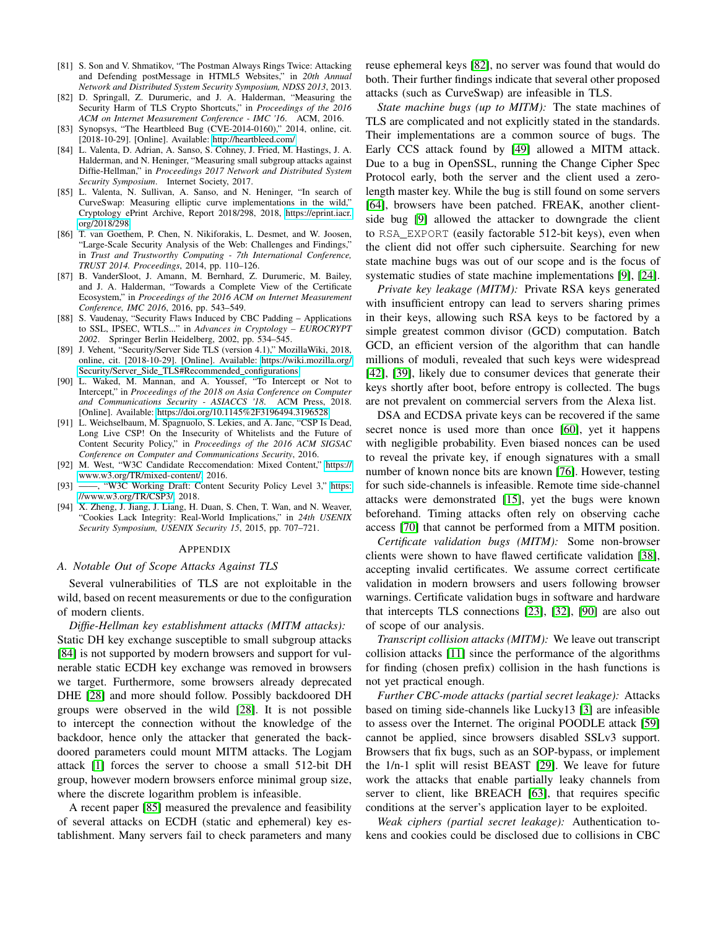- <span id="page-15-7"></span>[81] S. Son and V. Shmatikov, "The Postman Always Rings Twice: Attacking and Defending postMessage in HTML5 Websites," in *20th Annual Network and Distributed System Security Symposium, NDSS 2013*, 2013.
- <span id="page-15-13"></span>[82] D. Springall, Z. Durumeric, and J. A. Halderman, "Measuring the Security Harm of TLS Crypto Shortcuts," in *Proceedings of the 2016 ACM on Internet Measurement Conference - IMC '16*. ACM, 2016.
- <span id="page-15-5"></span>[83] Synopsys, "The Heartbleed Bug (CVE-2014-0160)," 2014, online, cit. [2018-10-29]. [Online]. Available:<http://heartbleed.com/>
- <span id="page-15-0"></span>[84] L. Valenta, D. Adrian, A. Sanso, S. Cohney, J. Fried, M. Hastings, J. A. Halderman, and N. Heninger, "Measuring small subgroup attacks against Diffie-Hellman," in *Proceedings 2017 Network and Distributed System Security Symposium*. Internet Society, 2017.
- <span id="page-15-1"></span>[85] L. Valenta, N. Sullivan, A. Sanso, and N. Heninger, "In search of CurveSwap: Measuring elliptic curve implementations in the wild," Cryptology ePrint Archive, Report 2018/298, 2018, [https://eprint.iacr.](https://eprint.iacr.org/2018/298) [org/2018/298.](https://eprint.iacr.org/2018/298)
- <span id="page-15-11"></span>[86] T. van Goethem, P. Chen, N. Nikiforakis, L. Desmet, and W. Joosen, "Large-Scale Security Analysis of the Web: Challenges and Findings," in *Trust and Trustworthy Computing - 7th International Conference, TRUST 2014. Proceedings*, 2014, pp. 110–126.
- <span id="page-15-12"></span>[87] B. VanderSloot, J. Amann, M. Bernhard, Z. Durumeric, M. Bailey, and J. A. Halderman, "Towards a Complete View of the Certificate Ecosystem," in *Proceedings of the 2016 ACM on Internet Measurement Conference, IMC 2016*, 2016, pp. 543–549.
- <span id="page-15-2"></span>[88] S. Vaudenay, "Security Flaws Induced by CBC Padding – Applications to SSL, IPSEC, WTLS..." in *Advances in Cryptology – EUROCRYPT 2002*. Springer Berlin Heidelberg, 2002, pp. 534–545.
- <span id="page-15-4"></span>[89] J. Vehent, "Security/Server Side TLS (version 4.1)," MozillaWiki, 2018, online, cit. [2018-10-29]. [Online]. Available: [https://wiki.mozilla.org/](https://wiki.mozilla.org/Security/Server_Side_TLS#Recommended_configurations) Security/Server\_Side\_[TLS#Recommended](https://wiki.mozilla.org/Security/Server_Side_TLS#Recommended_configurations)\_configurations
- <span id="page-15-14"></span>[90] L. Waked, M. Mannan, and A. Youssef, "To Intercept or Not to Intercept," in *Proceedings of the 2018 on Asia Conference on Computer and Communications Security - ASIACCS '18*. ACM Press, 2018. [Online]. Available:<https://doi.org/10.1145%2F3196494.3196528>
- <span id="page-15-8"></span>[91] L. Weichselbaum, M. Spagnuolo, S. Lekies, and A. Janc, "CSP Is Dead, Long Live CSP! On the Insecurity of Whitelists and the Future of Content Security Policy," in *Proceedings of the 2016 ACM SIGSAC Conference on Computer and Communications Security*, 2016.
- <span id="page-15-9"></span>[92] M. West, "W3C Candidate Reccomendation: Mixed Content," [https://](https://www.w3.org/TR/mixed-content/) [www.w3.org/TR/mixed-content/,](https://www.w3.org/TR/mixed-content/) 2016.
- <span id="page-15-6"></span>[93] -, "W3C Working Draft: Content Security Policy Level 3," [https:](https://www.w3.org/TR/CSP3/) [//www.w3.org/TR/CSP3/,](https://www.w3.org/TR/CSP3/) 2018.
- <span id="page-15-10"></span>[94] X. Zheng, J. Jiang, J. Liang, H. Duan, S. Chen, T. Wan, and N. Weaver, "Cookies Lack Integrity: Real-World Implications," in *24th USENIX Security Symposium, USENIX Security 15*, 2015, pp. 707–721.

#### APPENDIX

#### <span id="page-15-3"></span>*A. Notable Out of Scope Attacks Against TLS*

Several vulnerabilities of TLS are not exploitable in the wild, based on recent measurements or due to the configuration of modern clients.

*Diffie-Hellman key establishment attacks (MITM attacks):* Static DH key exchange susceptible to small subgroup attacks [\[84\]](#page-15-0) is not supported by modern browsers and support for vulnerable static ECDH key exchange was removed in browsers we target. Furthermore, some browsers already deprecated DHE [\[28\]](#page-13-7) and more should follow. Possibly backdoored DH groups were observed in the wild [\[28\]](#page-13-7). It is not possible to intercept the connection without the knowledge of the backdoor, hence only the attacker that generated the backdoored parameters could mount MITM attacks. The Logjam attack [\[1\]](#page-13-2) forces the server to choose a small 512-bit DH group, however modern browsers enforce minimal group size, where the discrete logarithm problem is infeasible.

A recent paper [\[85\]](#page-15-1) measured the prevalence and feasibility of several attacks on ECDH (static and ephemeral) key establishment. Many servers fail to check parameters and many reuse ephemeral keys [\[82\]](#page-15-13), no server was found that would do both. Their further findings indicate that several other proposed attacks (such as CurveSwap) are infeasible in TLS.

*State machine bugs (up to MITM):* The state machines of TLS are complicated and not explicitly stated in the standards. Their implementations are a common source of bugs. The Early CCS attack found by [\[49\]](#page-14-32) allowed a MITM attack. Due to a bug in OpenSSL, running the Change Cipher Spec Protocol early, both the server and the client used a zerolength master key. While the bug is still found on some servers [\[64\]](#page-14-3), browsers have been patched. FREAK, another clientside bug [\[9\]](#page-13-4) allowed the attacker to downgrade the client to RSA\_EXPORT (easily factorable 512-bit keys), even when the client did not offer such ciphersuite. Searching for new state machine bugs was out of our scope and is the focus of systematic studies of state machine implementations [\[9\]](#page-13-4), [\[24\]](#page-13-30).

*Private key leakage (MITM):* Private RSA keys generated with insufficient entropy can lead to servers sharing primes in their keys, allowing such RSA keys to be factored by a simple greatest common divisor (GCD) computation. Batch GCD, an efficient version of the algorithm that can handle millions of moduli, revealed that such keys were widespread [\[42\]](#page-14-21), [\[39\]](#page-13-8), likely due to consumer devices that generate their keys shortly after boot, before entropy is collected. The bugs are not prevalent on commercial servers from the Alexa list.

DSA and ECDSA private keys can be recovered if the same secret nonce is used more than once [\[60\]](#page-14-7), yet it happens with negligible probability. Even biased nonces can be used to reveal the private key, if enough signatures with a small number of known nonce bits are known [\[76\]](#page-14-33). However, testing for such side-channels is infeasible. Remote time side-channel attacks were demonstrated [\[15\]](#page-13-31), yet the bugs were known beforehand. Timing attacks often rely on observing cache access [\[70\]](#page-14-34) that cannot be performed from a MITM position.

*Certificate validation bugs (MITM):* Some non-browser clients were shown to have flawed certificate validation [\[38\]](#page-13-32), accepting invalid certificates. We assume correct certificate validation in modern browsers and users following browser warnings. Certificate validation bugs in software and hardware that intercepts TLS connections [\[23\]](#page-13-33), [\[32\]](#page-13-34), [\[90\]](#page-15-14) are also out of scope of our analysis.

*Transcript collision attacks (MITM):* We leave out transcript collision attacks [\[11\]](#page-13-5) since the performance of the algorithms for finding (chosen prefix) collision in the hash functions is not yet practical enough.

*Further CBC-mode attacks (partial secret leakage):* Attacks based on timing side-channels like Lucky13 [\[3\]](#page-13-10) are infeasible to assess over the Internet. The original POODLE attack [\[59\]](#page-14-2) cannot be applied, since browsers disabled SSLv3 support. Browsers that fix bugs, such as an SOP-bypass, or implement the 1/n-1 split will resist BEAST [\[29\]](#page-13-35). We leave for future work the attacks that enable partially leaky channels from server to client, like BREACH [\[63\]](#page-14-35), that requires specific conditions at the server's application layer to be exploited.

*Weak ciphers (partial secret leakage):* Authentication tokens and cookies could be disclosed due to collisions in CBC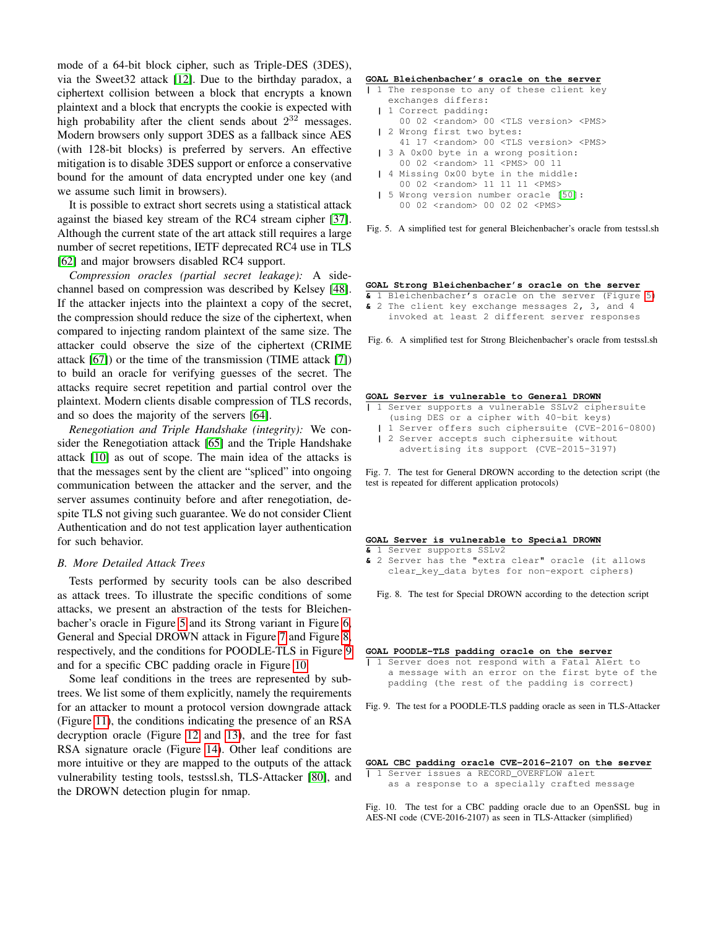mode of a 64-bit block cipher, such as Triple-DES (3DES), via the Sweet32 attack [\[12\]](#page-13-36). Due to the birthday paradox, a ciphertext collision between a block that encrypts a known plaintext and a block that encrypts the cookie is expected with high probability after the client sends about  $2^{32}$  messages. Modern browsers only support 3DES as a fallback since AES (with 128-bit blocks) is preferred by servers. An effective mitigation is to disable 3DES support or enforce a conservative bound for the amount of data encrypted under one key (and we assume such limit in browsers).

It is possible to extract short secrets using a statistical attack against the biased key stream of the RC4 stream cipher [\[37\]](#page-13-37). Although the current state of the art attack still requires a large number of secret repetitions, IETF deprecated RC4 use in TLS [\[62\]](#page-14-36) and major browsers disabled RC4 support.

*Compression oracles (partial secret leakage):* A sidechannel based on compression was described by Kelsey [\[48\]](#page-14-37). If the attacker injects into the plaintext a copy of the secret, the compression should reduce the size of the ciphertext, when compared to injecting random plaintext of the same size. The attacker could observe the size of the ciphertext (CRIME attack [\[67\]](#page-14-38)) or the time of the transmission (TIME attack [\[7\]](#page-13-38)) to build an oracle for verifying guesses of the secret. The attacks require secret repetition and partial control over the plaintext. Modern clients disable compression of TLS records, and so does the majority of the servers [\[64\]](#page-14-3).

*Renegotiation and Triple Handshake (integrity):* We consider the Renegotiation attack [\[65\]](#page-14-39) and the Triple Handshake attack [\[10\]](#page-13-39) as out of scope. The main idea of the attacks is that the messages sent by the client are "spliced" into ongoing communication between the attacker and the server, and the server assumes continuity before and after renegotiation, despite TLS not giving such guarantee. We do not consider Client Authentication and do not test application layer authentication for such behavior.

#### <span id="page-16-0"></span>*B. More Detailed Attack Trees*

Tests performed by security tools can be also described as attack trees. To illustrate the specific conditions of some attacks, we present an abstraction of the tests for Bleichenbacher's oracle in Figure [5](#page-16-1) and its Strong variant in Figure [6,](#page-16-2) General and Special DROWN attack in Figure [7](#page-16-3) and Figure [8,](#page-16-4) respectively, and the conditions for POODLE-TLS in Figure [9](#page-16-5) and for a specific CBC padding oracle in Figure [10.](#page-16-6)

Some leaf conditions in the trees are represented by subtrees. We list some of them explicitly, namely the requirements for an attacker to mount a protocol version downgrade attack (Figure [11\)](#page-17-0), the conditions indicating the presence of an RSA decryption oracle (Figure [12](#page-17-1) and [13\)](#page-17-2), and the tree for fast RSA signature oracle (Figure [14\)](#page-17-3). Other leaf conditions are more intuitive or they are mapped to the outputs of the attack vulnerability testing tools, testssl.sh, TLS-Attacker [\[80\]](#page-14-17), and the DROWN detection plugin for nmap.

#### **GOAL Bleichenbacher's oracle on the server**

- **|** 1 The response to any of these client key exchanges differs:
	- **|** 1 Correct padding: 00 02 <random> 00 <TLS version> <PMS>
	- **|** 2 Wrong first two bytes:
	- 41 17 <random> 00 <TLS version> <PMS>
	- **|** 3 A 0x00 byte in a wrong position:
	- 00 02 <random> 11 <PMS> 00 11
	- **|** 4 Missing 0x00 byte in the middle:
	- 00 02 <random> 11 11 11 <PMS> **|** 5 Wrong version number oracle [\[50\]](#page-14-11):
	- 00 02 <random> 00 02 02 <PMS>

<span id="page-16-1"></span>Fig. 5. A simplified test for general Bleichenbacher's oracle from testssl.sh

# **GOAL Strong Bleichenbacher's oracle on the server**

#### **&** 1 Bleichenbacher's oracle on the server (Figure [5\)](#page-16-1) **&** 2 The client key exchange messages 2, 3, and 4 invoked at least 2 different server responses

<span id="page-16-2"></span>Fig. 6. A simplified test for Strong Bleichenbacher's oracle from testssl.sh

#### **GOAL Server is vulnerable to General DROWN**

- **|** 1 Server supports a vulnerable SSLv2 ciphersuite
	- (using DES or a cipher with 40-bit keys)
	- **|** 1 Server offers such ciphersuite (CVE-2016-0800) **|** 2 Server accepts such ciphersuite without
	- advertising its support (CVE-2015-3197)

<span id="page-16-3"></span>Fig. 7. The test for General DROWN according to the detection script (the test is repeated for different application protocols)

#### **GOAL Server is vulnerable to Special DROWN**

- **&** 1 Server supports SSLv2
- **&** 2 Server has the "extra clear" oracle (it allows clear\_key\_data bytes for non-export ciphers)

<span id="page-16-4"></span>Fig. 8. The test for Special DROWN according to the detection script

#### **GOAL POODLE-TLS padding oracle on the server**

**|** 1 Server does not respond with a Fatal Alert to a message with an error on the first byte of the padding (the rest of the padding is correct)

<span id="page-16-5"></span>Fig. 9. The test for a POODLE-TLS padding oracle as seen in TLS-Attacker

#### **GOAL CBC padding oracle CVE-2016-2107 on the server**

**|** 1 Server issues a RECORD\_OVERFLOW alert as a response to a specially crafted message

<span id="page-16-6"></span>Fig. 10. The test for a CBC padding oracle due to an OpenSSL bug in AES-NI code (CVE-2016-2107) as seen in TLS-Attacker (simplified)